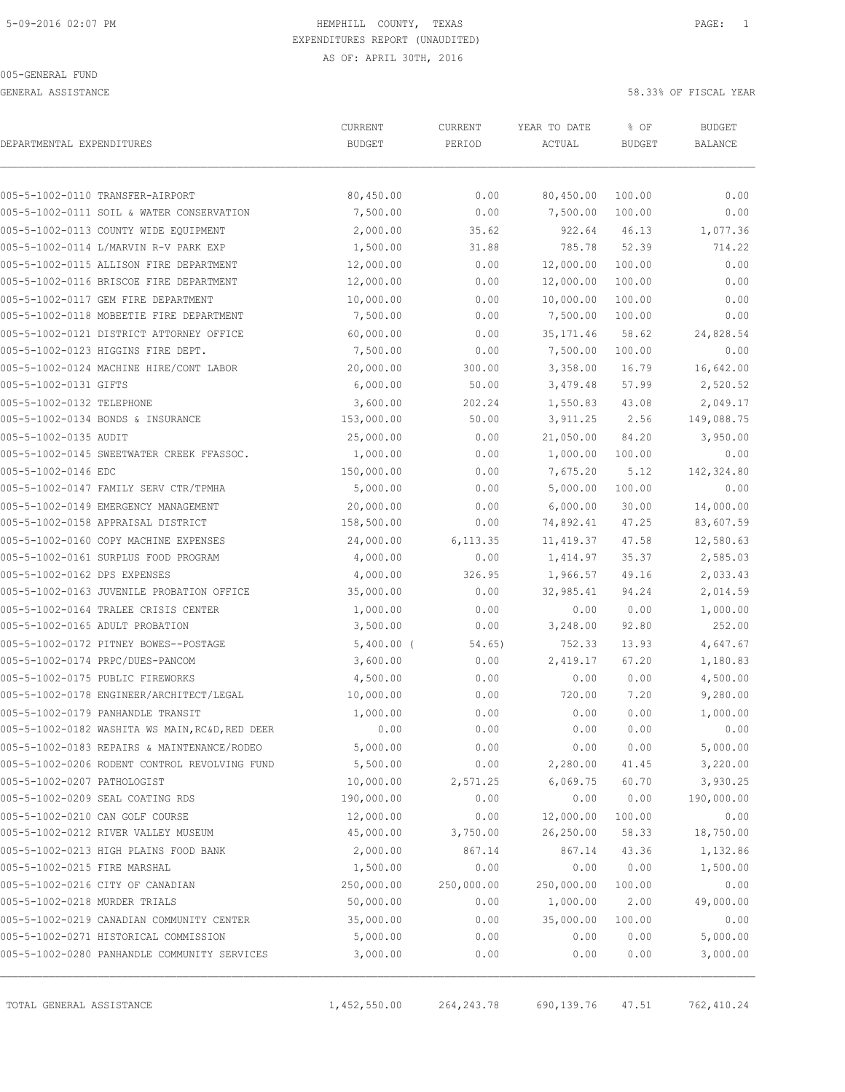GENERAL ASSISTANCE 58.33% OF FISCAL YEAR

| DEPARTMENTAL EXPENDITURES        |                                                 | CURRENT<br><b>BUDGET</b> | CURRENT<br>PERIOD | YEAR TO DATE<br>ACTUAL | % OF<br><b>BUDGET</b> | <b>BUDGET</b><br><b>BALANCE</b> |
|----------------------------------|-------------------------------------------------|--------------------------|-------------------|------------------------|-----------------------|---------------------------------|
|                                  |                                                 |                          |                   |                        |                       |                                 |
| 005-5-1002-0110 TRANSFER-AIRPORT |                                                 | 80,450.00                | 0.00              | 80,450.00              | 100.00                | 0.00                            |
|                                  | 005-5-1002-0111 SOIL & WATER CONSERVATION       | 7,500.00                 | 0.00              | 7,500.00               | 100.00                | 0.00                            |
|                                  | 005-5-1002-0113 COUNTY WIDE EQUIPMENT           | 2,000.00                 | 35.62             | 922.64                 | 46.13                 | 1,077.36                        |
|                                  | 005-5-1002-0114 L/MARVIN R-V PARK EXP           | 1,500.00                 | 31.88             | 785.78                 | 52.39                 | 714.22                          |
|                                  | 005-5-1002-0115 ALLISON FIRE DEPARTMENT         | 12,000.00                | 0.00              | 12,000.00              | 100.00                | 0.00                            |
|                                  | 005-5-1002-0116 BRISCOE FIRE DEPARTMENT         | 12,000.00                | 0.00              | 12,000.00              | 100.00                | 0.00                            |
|                                  | 005-5-1002-0117 GEM FIRE DEPARTMENT             | 10,000.00                | 0.00              | 10,000.00              | 100.00                | 0.00                            |
|                                  | 005-5-1002-0118 MOBEETIE FIRE DEPARTMENT        | 7,500.00                 | 0.00              | 7,500.00               | 100.00                | 0.00                            |
|                                  | 005-5-1002-0121 DISTRICT ATTORNEY OFFICE        | 60,000.00                | 0.00              | 35, 171.46             | 58.62                 | 24,828.54                       |
|                                  | 005-5-1002-0123 HIGGINS FIRE DEPT.              | 7,500.00                 | 0.00              | 7,500.00               | 100.00                | 0.00                            |
|                                  | 005-5-1002-0124 MACHINE HIRE/CONT LABOR         | 20,000.00                | 300.00            | 3,358.00               | 16.79                 | 16,642.00                       |
| 005-5-1002-0131 GIFTS            |                                                 | 6,000.00                 | 50.00             | 3,479.48               | 57.99                 | 2,520.52                        |
| 005-5-1002-0132 TELEPHONE        |                                                 | 3,600.00                 | 202.24            | 1,550.83               | 43.08                 | 2,049.17                        |
|                                  | 005-5-1002-0134 BONDS & INSURANCE               | 153,000.00               | 50.00             | 3,911.25               | 2.56                  | 149,088.75                      |
| 005-5-1002-0135 AUDIT            |                                                 | 25,000.00                | 0.00              | 21,050.00              | 84.20                 | 3,950.00                        |
|                                  | 005-5-1002-0145 SWEETWATER CREEK FFASSOC.       | 1,000.00                 | 0.00              | 1,000.00               | 100.00                | 0.00                            |
| 005-5-1002-0146 EDC              |                                                 | 150,000.00               | 0.00              | 7,675.20               | 5.12                  | 142,324.80                      |
|                                  | 005-5-1002-0147 FAMILY SERV CTR/TPMHA           | 5,000.00                 | 0.00              | 5,000.00               | 100.00                | 0.00                            |
|                                  | 005-5-1002-0149 EMERGENCY MANAGEMENT            | 20,000.00                | 0.00              | 6,000.00               | 30.00                 | 14,000.00                       |
|                                  | 005-5-1002-0158 APPRAISAL DISTRICT              | 158,500.00               | 0.00              | 74,892.41              | 47.25                 | 83,607.59                       |
|                                  | 005-5-1002-0160 COPY MACHINE EXPENSES           | 24,000.00                | 6, 113.35         | 11, 419.37             | 47.58                 | 12,580.63                       |
|                                  | 005-5-1002-0161 SURPLUS FOOD PROGRAM            | 4,000.00                 | 0.00              | 1,414.97               | 35.37                 | 2,585.03                        |
| 005-5-1002-0162 DPS EXPENSES     |                                                 | 4,000.00                 | 326.95            | 1,966.57               | 49.16                 | 2,033.43                        |
|                                  | 005-5-1002-0163 JUVENILE PROBATION OFFICE       | 35,000.00                | 0.00              | 32,985.41              | 94.24                 | 2,014.59                        |
|                                  | 005-5-1002-0164 TRALEE CRISIS CENTER            | 1,000.00                 | 0.00              | 0.00                   | 0.00                  | 1,000.00                        |
| 005-5-1002-0165 ADULT PROBATION  |                                                 | 3,500.00                 | 0.00              | 3,248.00               | 92.80                 | 252.00                          |
|                                  | 005-5-1002-0172 PITNEY BOWES--POSTAGE           | $5,400.00$ (             | 54.65)            | 752.33                 | 13.93                 | 4,647.67                        |
|                                  | 005-5-1002-0174 PRPC/DUES-PANCOM                | 3,600.00                 | 0.00              | 2,419.17               | 67.20                 | 1,180.83                        |
| 005-5-1002-0175 PUBLIC FIREWORKS |                                                 | 4,500.00                 | 0.00              | 0.00                   | 0.00                  | 4,500.00                        |
|                                  | 005-5-1002-0178 ENGINEER/ARCHITECT/LEGAL        | 10,000.00                | 0.00              | 720.00                 | 7.20                  | 9,280.00                        |
|                                  | 005-5-1002-0179 PANHANDLE TRANSIT               | 1,000.00                 | 0.00              | 0.00                   | 0.00                  | 1,000.00                        |
|                                  | 005-5-1002-0182 WASHITA WS MAIN, RC&D, RED DEER | 0.00                     | 0.00              | 0.00                   | 0.00                  | 0.00                            |
|                                  | 005-5-1002-0183 REPAIRS & MAINTENANCE/RODEO     | 5,000.00                 | 0.00              | 0.00                   | 0.00                  | 5,000.00                        |
|                                  | 005-5-1002-0206 RODENT CONTROL REVOLVING FUND   | 5,500.00                 | 0.00              | 2,280.00               | 41.45                 | 3,220.00                        |
| 005-5-1002-0207 PATHOLOGIST      |                                                 | 10,000.00                | 2,571.25          | 6,069.75               | 60.70                 | 3,930.25                        |
| 005-5-1002-0209 SEAL COATING RDS |                                                 | 190,000.00               | 0.00              | 0.00                   | 0.00                  | 190,000.00                      |
| 005-5-1002-0210 CAN GOLF COURSE  |                                                 | 12,000.00                | 0.00              | 12,000.00              | 100.00                | 0.00                            |
|                                  | 005-5-1002-0212 RIVER VALLEY MUSEUM             | 45,000.00                | 3,750.00          | 26,250.00              | 58.33                 | 18,750.00                       |
|                                  | 005-5-1002-0213 HIGH PLAINS FOOD BANK           | 2,000.00                 | 867.14            | 867.14                 | 43.36                 | 1,132.86                        |
| 005-5-1002-0215 FIRE MARSHAL     |                                                 | 1,500.00                 | 0.00              | 0.00                   | 0.00                  | 1,500.00                        |
|                                  | 005-5-1002-0216 CITY OF CANADIAN                | 250,000.00               | 250,000.00        | 250,000.00             | 100.00                | 0.00                            |
| 005-5-1002-0218 MURDER TRIALS    |                                                 | 50,000.00                | 0.00              | 1,000.00               | 2.00                  | 49,000.00                       |
|                                  | 005-5-1002-0219 CANADIAN COMMUNITY CENTER       | 35,000.00                | 0.00              | 35,000.00              | 100.00                | 0.00                            |
|                                  | 005-5-1002-0271 HISTORICAL COMMISSION           | 5,000.00                 | 0.00              | 0.00                   | 0.00                  | 5,000.00                        |
|                                  | 005-5-1002-0280 PANHANDLE COMMUNITY SERVICES    | 3,000.00                 | 0.00              | 0.00                   | 0.00                  | 3,000.00                        |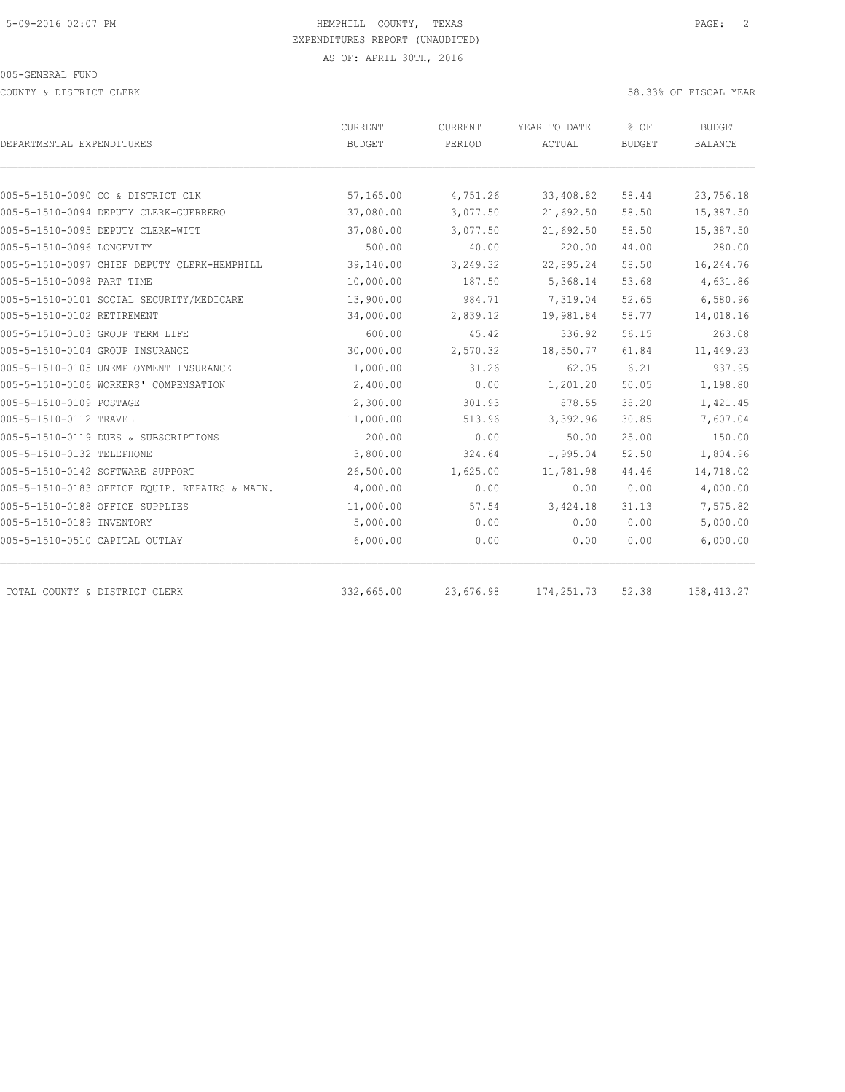COUNTY & DISTRICT CLERK 58.33% OF FISCAL YEAR

|                                               | CURRENT       | CURRENT   | YEAR TO DATE | % OF          | <b>BUDGET</b>  |  |
|-----------------------------------------------|---------------|-----------|--------------|---------------|----------------|--|
| DEPARTMENTAL EXPENDITURES                     | <b>BUDGET</b> | PERIOD    | ACTUAL       | <b>BUDGET</b> | <b>BALANCE</b> |  |
|                                               |               |           |              |               |                |  |
| 005-5-1510-0090 CO & DISTRICT CLK             | 57,165.00     | 4,751.26  | 33,408.82    | 58.44         | 23,756.18      |  |
| 005-5-1510-0094 DEPUTY CLERK-GUERRERO         | 37,080.00     | 3,077.50  | 21,692.50    | 58.50         | 15,387.50      |  |
| 005-5-1510-0095 DEPUTY CLERK-WITT             | 37,080.00     | 3,077.50  | 21,692.50    | 58.50         | 15,387.50      |  |
| 005-5-1510-0096 LONGEVITY                     | 500.00        | 40.00     | 220.00       | 44.00         | 280.00         |  |
| 005-5-1510-0097 CHIEF DEPUTY CLERK-HEMPHILL   | 39,140.00     | 3,249.32  | 22,895.24    | 58.50         | 16,244.76      |  |
| 005-5-1510-0098 PART TIME                     | 10,000.00     | 187.50    | 5,368.14     | 53.68         | 4,631.86       |  |
| 005-5-1510-0101 SOCIAL SECURITY/MEDICARE      | 13,900.00     | 984.71    | 7,319.04     | 52.65         | 6,580.96       |  |
| 005-5-1510-0102 RETIREMENT                    | 34,000.00     | 2,839.12  | 19,981.84    | 58.77         | 14,018.16      |  |
| 005-5-1510-0103 GROUP TERM LIFE               | 600.00        | 45.42     | 336.92       | 56.15         | 263.08         |  |
| 005-5-1510-0104 GROUP INSURANCE               | 30,000.00     | 2,570.32  | 18,550.77    | 61.84         | 11,449.23      |  |
| 005-5-1510-0105 UNEMPLOYMENT INSURANCE        | 1,000.00      | 31.26     | 62.05        | 6.21          | 937.95         |  |
| 005-5-1510-0106 WORKERS' COMPENSATION         | 2,400.00      | 0.00      | 1,201.20     | 50.05         | 1,198.80       |  |
| 005-5-1510-0109 POSTAGE                       | 2,300.00      | 301.93    | 878.55       | 38.20         | 1,421.45       |  |
| 005-5-1510-0112 TRAVEL                        | 11,000.00     | 513.96    | 3,392.96     | 30.85         | 7,607.04       |  |
| 005-5-1510-0119 DUES & SUBSCRIPTIONS          | 200.00        | 0.00      | 50.00        | 25.00         | 150.00         |  |
| 005-5-1510-0132 TELEPHONE                     | 3,800.00      | 324.64    | 1,995.04     | 52.50         | 1,804.96       |  |
| 005-5-1510-0142 SOFTWARE SUPPORT              | 26,500.00     | 1,625.00  | 11,781.98    | 44.46         | 14,718.02      |  |
| 005-5-1510-0183 OFFICE EOUIP. REPAIRS & MAIN. | 4,000.00      | 0.00      | 0.00         | 0.00          | 4,000.00       |  |
| 005-5-1510-0188 OFFICE SUPPLIES               | 11,000.00     | 57.54     | 3,424.18     | 31.13         | 7,575.82       |  |
| 005-5-1510-0189 INVENTORY                     | 5,000.00      | 0.00      | 0.00         | 0.00          | 5,000.00       |  |
| 005-5-1510-0510 CAPITAL OUTLAY                | 6,000.00      | 0.00      | 0.00         | 0.00          | 6,000.00       |  |
|                                               |               |           |              |               |                |  |
| TOTAL COUNTY & DISTRICT CLERK                 | 332,665.00    | 23,676.98 | 174, 251.73  | 52.38         | 158, 413.27    |  |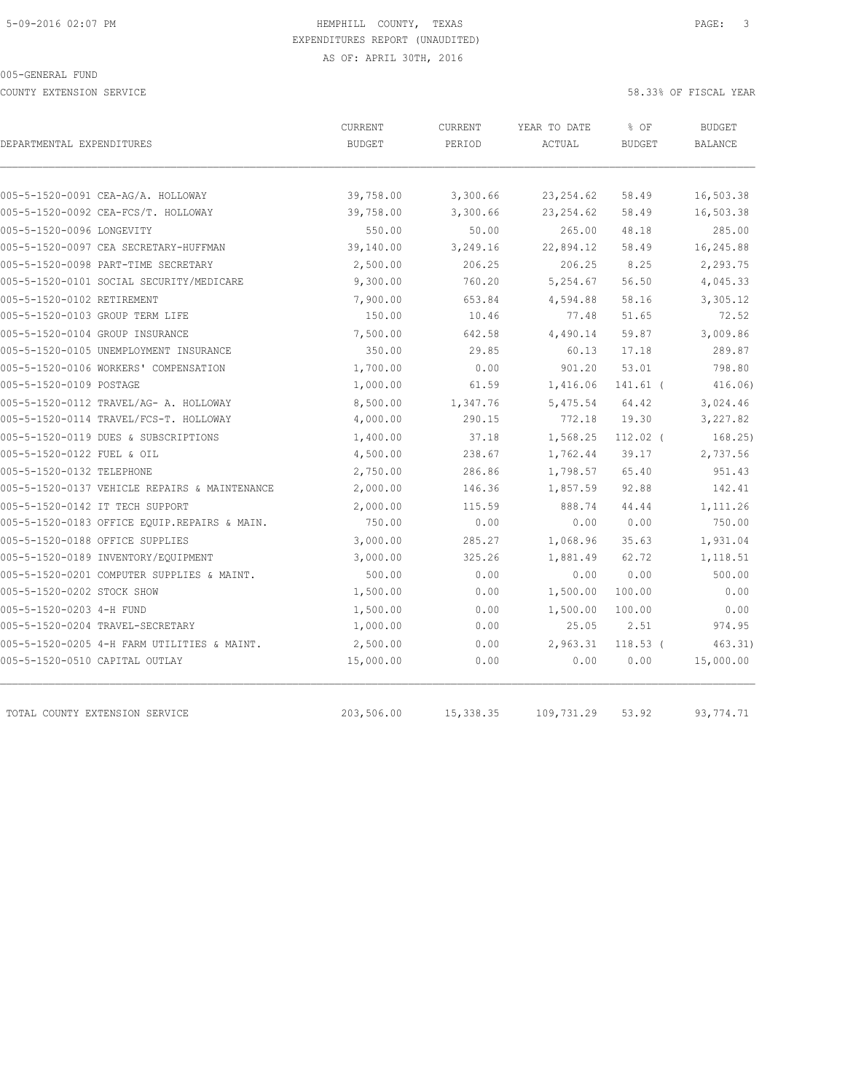COUNTY EXTENSION SERVICE 58.33% OF FISCAL YEAR

| DEPARTMENTAL EXPENDITURES       |                                               | <b>CURRENT</b><br><b>BUDGET</b> | <b>CURRENT</b><br>PERIOD | YEAR TO DATE<br>ACTUAL | % OF<br><b>BUDGET</b> | <b>BUDGET</b><br>BALANCE |
|---------------------------------|-----------------------------------------------|---------------------------------|--------------------------|------------------------|-----------------------|--------------------------|
|                                 |                                               |                                 |                          |                        |                       |                          |
|                                 | 005-5-1520-0091 CEA-AG/A. HOLLOWAY            | 39,758.00                       | 3,300.66                 | 23, 254.62             | 58.49                 | 16,503.38                |
|                                 | 005-5-1520-0092 CEA-FCS/T. HOLLOWAY           | 39,758.00                       | 3,300.66                 | 23, 254.62             | 58.49                 | 16,503.38                |
| 005-5-1520-0096 LONGEVITY       |                                               | 550.00                          | 50.00                    | 265.00                 | 48.18                 | 285.00                   |
|                                 | 005-5-1520-0097 CEA SECRETARY-HUFFMAN         | 39,140.00                       | 3,249.16                 | 22,894.12              | 58.49                 | 16,245.88                |
|                                 | 005-5-1520-0098 PART-TIME SECRETARY           | 2,500.00                        | 206.25                   | 206.25                 | 8.25                  | 2,293.75                 |
|                                 | 005-5-1520-0101 SOCIAL SECURITY/MEDICARE      | 9,300.00                        | 760.20                   | 5,254.67               | 56.50                 | 4,045.33                 |
| 005-5-1520-0102 RETIREMENT      |                                               | 7,900.00                        | 653.84                   | 4,594.88               | 58.16                 | 3,305.12                 |
| 005-5-1520-0103 GROUP TERM LIFE |                                               | 150.00                          | 10.46                    | 77.48                  | 51.65                 | 72.52                    |
| 005-5-1520-0104 GROUP INSURANCE |                                               | 7,500.00                        | 642.58                   | 4,490.14               | 59.87                 | 3,009.86                 |
|                                 | 005-5-1520-0105 UNEMPLOYMENT INSURANCE        | 350.00                          | 29.85                    | 60.13                  | 17.18                 | 289.87                   |
|                                 | 005-5-1520-0106 WORKERS' COMPENSATION         | 1,700.00                        | 0.00                     | 901.20                 | 53.01                 | 798.80                   |
| 005-5-1520-0109 POSTAGE         |                                               | 1,000.00                        | 61.59                    | 1,416.06               | $141.61$ (            | 416.06                   |
|                                 | 005-5-1520-0112 TRAVEL/AG- A. HOLLOWAY        | 8,500.00                        | 1,347.76                 | 5,475.54               | 64.42                 | 3,024.46                 |
|                                 | 005-5-1520-0114 TRAVEL/FCS-T. HOLLOWAY        | 4,000.00                        | 290.15                   | 772.18                 | 19.30                 | 3,227.82                 |
|                                 | 005-5-1520-0119 DUES & SUBSCRIPTIONS          | 1,400.00                        | 37.18                    | 1,568.25               | $112.02$ (            | 168.25                   |
| 005-5-1520-0122 FUEL & OIL      |                                               | 4,500.00                        | 238.67                   | 1,762.44               | 39.17                 | 2,737.56                 |
| 005-5-1520-0132 TELEPHONE       |                                               | 2,750.00                        | 286.86                   | 1,798.57               | 65.40                 | 951.43                   |
|                                 | 005-5-1520-0137 VEHICLE REPAIRS & MAINTENANCE | 2,000.00                        | 146.36                   | 1,857.59               | 92.88                 | 142.41                   |
| 005-5-1520-0142 IT TECH SUPPORT |                                               | 2,000.00                        | 115.59                   | 888.74                 | 44.44                 | 1,111.26                 |
|                                 | 005-5-1520-0183 OFFICE EQUIP.REPAIRS & MAIN.  | 750.00                          | 0.00                     | 0.00                   | 0.00                  | 750.00                   |
| 005-5-1520-0188 OFFICE SUPPLIES |                                               | 3,000.00                        | 285.27                   | 1,068.96               | 35.63                 | 1,931.04                 |
|                                 | 005-5-1520-0189 INVENTORY/EQUIPMENT           | 3,000.00                        | 325.26                   | 1,881.49               | 62.72                 | 1,118.51                 |
|                                 | 005-5-1520-0201 COMPUTER SUPPLIES & MAINT.    | 500.00                          | 0.00                     | 0.00                   | 0.00                  | 500.00                   |
| 005-5-1520-0202 STOCK SHOW      |                                               | 1,500.00                        | 0.00                     | 1,500.00               | 100.00                | 0.00                     |
| 005-5-1520-0203 4-H FUND        |                                               | 1,500.00                        | 0.00                     | 1,500.00               | 100.00                | 0.00                     |
|                                 | 005-5-1520-0204 TRAVEL-SECRETARY              | 1,000.00                        | 0.00                     | 25.05                  | 2.51                  | 974.95                   |
|                                 | 005-5-1520-0205 4-H FARM UTILITIES & MAINT.   | 2,500.00                        | 0.00                     | 2,963.31               | $118.53$ (            | 463.31)                  |
| 005-5-1520-0510 CAPITAL OUTLAY  |                                               | 15,000.00                       | 0.00                     | 0.00                   | 0.00                  | 15,000.00                |
|                                 | TOTAL COUNTY EXTENSION SERVICE                | 203,506.00                      | 15,338.35                | 109,731.29             | 53.92                 | 93,774.71                |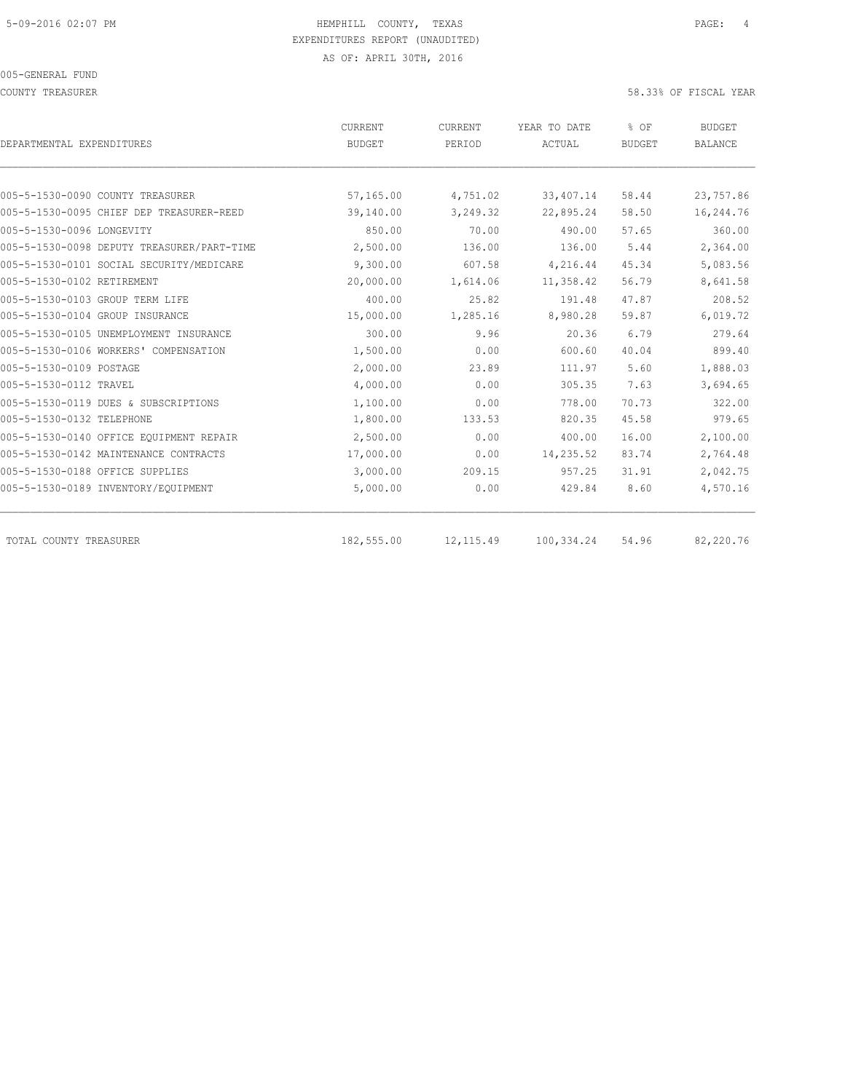COUNTY TREASURER 58.33% OF FISCAL YEAR

| DEPARTMENTAL EXPENDITURES                  | CURRENT<br><b>BUDGET</b> | CURRENT<br>PERIOD | YEAR TO DATE<br>ACTUAL | % OF<br><b>BUDGET</b> | <b>BUDGET</b><br><b>BALANCE</b> |
|--------------------------------------------|--------------------------|-------------------|------------------------|-----------------------|---------------------------------|
|                                            |                          |                   |                        |                       |                                 |
| 005-5-1530-0090 COUNTY TREASURER           | 57,165.00                | 4,751.02          | 33,407.14              | 58.44                 | 23,757.86                       |
| 005-5-1530-0095 CHIEF DEP TREASURER-REED   | 39,140.00                | 3,249.32          | 22,895.24              | 58.50                 | 16,244.76                       |
| 005-5-1530-0096 LONGEVITY                  | 850.00                   | 70.00             | 490.00                 | 57.65                 | 360.00                          |
| 005-5-1530-0098 DEPUTY TREASURER/PART-TIME | 2,500.00                 | 136.00            | 136.00                 | 5.44                  | 2,364.00                        |
| 005-5-1530-0101 SOCIAL SECURITY/MEDICARE   | 9,300.00                 | 607.58            | 4,216.44               | 45.34                 | 5,083.56                        |
| 005-5-1530-0102 RETIREMENT                 | 20,000.00                | 1,614.06          | 11,358.42              | 56.79                 | 8,641.58                        |
| 005-5-1530-0103 GROUP TERM LIFE            | 400.00                   | 25.82             | 191.48                 | 47.87                 | 208.52                          |
| 005-5-1530-0104 GROUP INSURANCE            | 15,000.00                | 1,285.16          | 8,980.28               | 59.87                 | 6,019.72                        |
| 005-5-1530-0105 UNEMPLOYMENT INSURANCE     | 300.00                   | 9.96              | 20.36                  | 6.79                  | 279.64                          |
| 005-5-1530-0106 WORKERS' COMPENSATION      | 1,500.00                 | 0.00              | 600.60                 | 40.04                 | 899.40                          |
| 005-5-1530-0109 POSTAGE                    | 2,000.00                 | 23.89             | 111.97                 | 5.60                  | 1,888.03                        |
| 005-5-1530-0112 TRAVEL                     | 4,000.00                 | 0.00              | 305.35                 | 7.63                  | 3,694.65                        |
| 005-5-1530-0119 DUES & SUBSCRIPTIONS       | 1,100.00                 | 0.00              | 778.00                 | 70.73                 | 322.00                          |
| 005-5-1530-0132 TELEPHONE                  | 1,800.00                 | 133.53            | 820.35                 | 45.58                 | 979.65                          |
| 005-5-1530-0140 OFFICE EQUIPMENT REPAIR    | 2,500.00                 | 0.00              | 400.00                 | 16.00                 | 2,100.00                        |
| 005-5-1530-0142 MAINTENANCE CONTRACTS      | 17,000.00                | 0.00              | 14,235.52              | 83.74                 | 2,764.48                        |
| 005-5-1530-0188 OFFICE SUPPLIES            | 3,000.00                 | 209.15            | 957.25                 | 31.91                 | 2,042.75                        |
| 005-5-1530-0189 INVENTORY/EQUIPMENT        | 5,000.00                 | 0.00              | 429.84                 | 8.60                  | 4,570.16                        |
| TOTAL COUNTY TREASURER                     | 182,555.00               | 12, 115.49        | 100,334.24             | 54.96                 | 82,220.76                       |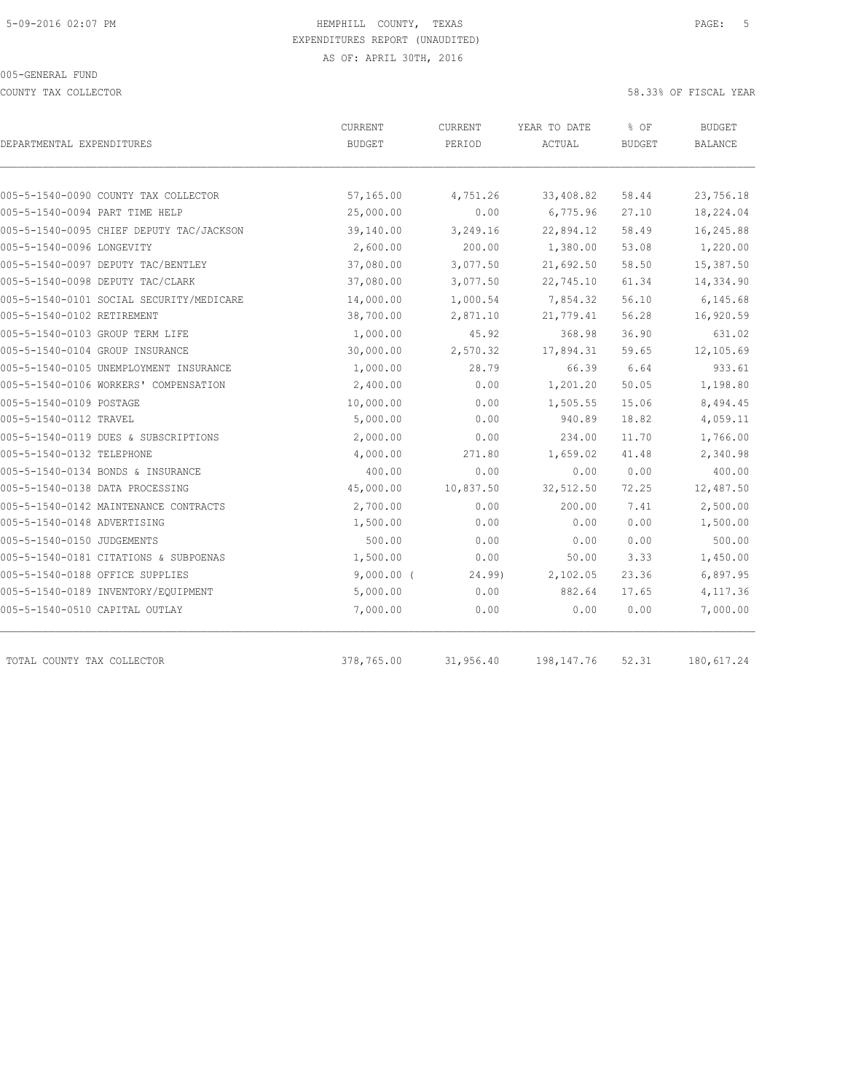COUNTY TAX COLLECTOR 58.33% OF FISCAL YEAR

| DEPARTMENTAL EXPENDITURES                | CURRENT<br><b>BUDGET</b> | <b>CURRENT</b><br>PERIOD | YEAR TO DATE<br>ACTUAL | % OF<br><b>BUDGET</b> | <b>BUDGET</b><br>BALANCE |
|------------------------------------------|--------------------------|--------------------------|------------------------|-----------------------|--------------------------|
|                                          |                          |                          |                        |                       |                          |
| 005-5-1540-0090 COUNTY TAX COLLECTOR     | 57,165.00                | 4,751.26                 | 33,408.82              | 58.44                 | 23,756.18                |
| 005-5-1540-0094 PART TIME HELP           | 25,000.00                | 0.00                     | 6,775.96               | 27.10                 | 18,224.04                |
| 005-5-1540-0095 CHIEF DEPUTY TAC/JACKSON | 39,140.00                | 3,249.16                 | 22,894.12              | 58.49                 | 16,245.88                |
| 005-5-1540-0096 LONGEVITY                | 2,600.00                 | 200.00                   | 1,380.00               | 53.08                 | 1,220.00                 |
| 005-5-1540-0097 DEPUTY TAC/BENTLEY       | 37,080.00                | 3,077.50                 | 21,692.50              | 58.50                 | 15,387.50                |
| 005-5-1540-0098 DEPUTY TAC/CLARK         | 37,080.00                | 3,077.50                 | 22,745.10              | 61.34                 | 14,334.90                |
| 005-5-1540-0101 SOCIAL SECURITY/MEDICARE | 14,000.00                | 1,000.54                 | 7,854.32               | 56.10                 | 6,145.68                 |
| 005-5-1540-0102 RETIREMENT               | 38,700.00                | 2,871.10                 | 21,779.41              | 56.28                 | 16,920.59                |
| 005-5-1540-0103 GROUP TERM LIFE          | 1,000.00                 | 45.92                    | 368.98                 | 36.90                 | 631.02                   |
| 005-5-1540-0104 GROUP INSURANCE          | 30,000.00                | 2,570.32                 | 17,894.31              | 59.65                 | 12,105.69                |
| 005-5-1540-0105 UNEMPLOYMENT INSURANCE   | 1,000.00                 | 28.79                    | 66.39                  | 6.64                  | 933.61                   |
| 005-5-1540-0106 WORKERS' COMPENSATION    | 2,400.00                 | 0.00                     | 1,201.20               | 50.05                 | 1,198.80                 |
| 005-5-1540-0109 POSTAGE                  | 10,000.00                | 0.00                     | 1,505.55               | 15.06                 | 8,494.45                 |
| 005-5-1540-0112 TRAVEL                   | 5,000.00                 | 0.00                     | 940.89                 | 18.82                 | 4,059.11                 |
| 005-5-1540-0119 DUES & SUBSCRIPTIONS     | 2,000.00                 | 0.00                     | 234.00                 | 11.70                 | 1,766.00                 |
| 005-5-1540-0132 TELEPHONE                | 4,000.00                 | 271.80                   | 1,659.02               | 41.48                 | 2,340.98                 |
| 005-5-1540-0134 BONDS & INSURANCE        | 400.00                   | 0.00                     | 0.00                   | 0.00                  | 400.00                   |
| 005-5-1540-0138 DATA PROCESSING          | 45,000.00                | 10,837.50                | 32,512.50              | 72.25                 | 12,487.50                |
| 005-5-1540-0142 MAINTENANCE CONTRACTS    | 2,700.00                 | 0.00                     | 200.00                 | 7.41                  | 2,500.00                 |
| 005-5-1540-0148 ADVERTISING              | 1,500.00                 | 0.00                     | 0.00                   | 0.00                  | 1,500.00                 |
| 005-5-1540-0150 JUDGEMENTS               | 500.00                   | 0.00                     | 0.00                   | 0.00                  | 500.00                   |
| 005-5-1540-0181 CITATIONS & SUBPOENAS    | 1,500.00                 | 0.00                     | 50.00                  | 3.33                  | 1,450.00                 |
| 005-5-1540-0188 OFFICE SUPPLIES          | $9,000.00$ (             | 24.99                    | 2,102.05               | 23.36                 | 6,897.95                 |
| 005-5-1540-0189 INVENTORY/EQUIPMENT      | 5,000.00                 | 0.00                     | 882.64                 | 17.65                 | 4,117.36                 |
| 005-5-1540-0510 CAPITAL OUTLAY           | 7,000.00                 | 0.00                     | 0.00                   | 0.00                  | 7,000.00                 |
| TOTAL COUNTY TAX COLLECTOR               | 378,765.00               | 31,956.40                | 198,147.76             | 52.31                 | 180,617.24               |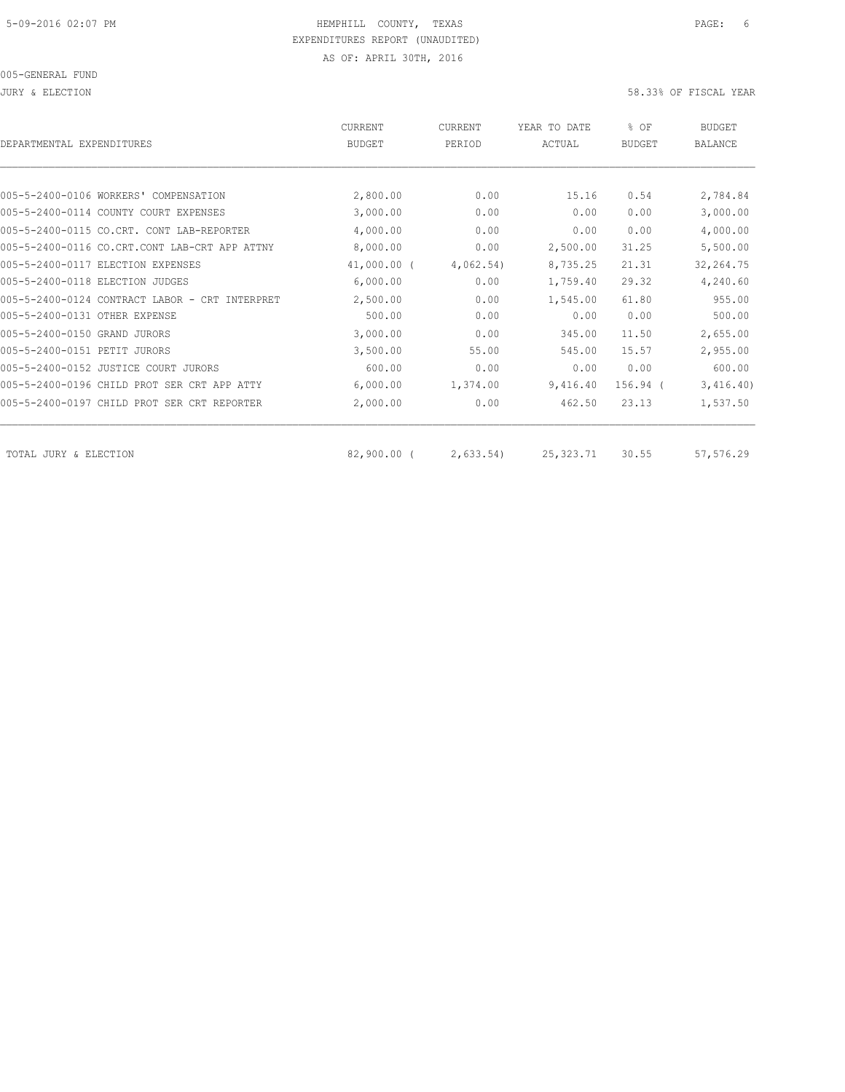JURY & ELECTION 58.33% OF FISCAL YEAR

| DEPARTMENTAL EXPENDITURES                      | <b>CURRENT</b><br><b>BUDGET</b> | CURRENT<br>PERIOD | YEAR TO DATE<br>ACTUAL | % OF<br><b>BUDGET</b> | <b>BUDGET</b><br><b>BALANCE</b> |
|------------------------------------------------|---------------------------------|-------------------|------------------------|-----------------------|---------------------------------|
|                                                |                                 |                   |                        |                       |                                 |
| 005-5-2400-0106 WORKERS' COMPENSATION          | 2,800.00                        | 0.00              | 15.16                  | 0.54                  | 2,784.84                        |
| 005-5-2400-0114 COUNTY COURT EXPENSES          | 3,000.00                        | 0.00              | 0.00                   | 0.00                  | 3,000.00                        |
| 005-5-2400-0115 CO.CRT. CONT LAB-REPORTER      | 4,000.00                        | 0.00              | 0.00                   | 0.00                  | 4,000.00                        |
| 005-5-2400-0116 CO.CRT.CONT LAB-CRT APP ATTNY  | 8,000.00                        | 0.00              | 2,500.00               | 31.25                 | 5,500.00                        |
| 005-5-2400-0117 ELECTION EXPENSES              | 41,000.00 (                     | 4,062.54)         | 8,735.25               | 21.31                 | 32, 264.75                      |
| 005-5-2400-0118 ELECTION JUDGES                | 6,000.00                        | 0.00              | 1,759.40               | 29.32                 | 4,240.60                        |
| 005-5-2400-0124 CONTRACT LABOR - CRT INTERPRET | 2,500.00                        | 0.00              | 1,545.00               | 61.80                 | 955.00                          |
| 005-5-2400-0131 OTHER EXPENSE                  | 500.00                          | 0.00              | 0.00                   | 0.00                  | 500.00                          |
| 005-5-2400-0150 GRAND JURORS                   | 3,000.00                        | 0.00              | 345.00                 | 11.50                 | 2,655.00                        |
| 005-5-2400-0151 PETIT JURORS                   | 3,500.00                        | 55.00             | 545.00                 | 15.57                 | 2,955.00                        |
| 005-5-2400-0152 JUSTICE COURT JURORS           | 600.00                          | 0.00              | 0.00                   | 0.00                  | 600.00                          |
| 005-5-2400-0196 CHILD PROT SER CRT APP ATTY    | 6,000.00                        | 1,374.00          | 9,416.40               | $156.94$ (            | 3,416.40)                       |
| 005-5-2400-0197 CHILD PROT SER CRT REPORTER    | 2,000.00                        | 0.00              | 462.50                 | 23.13                 | 1,537.50                        |
| TOTAL JURY & ELECTION                          | $82,900.00$ (                   | 2,633.54          | 25,323.71              | 30.55                 | 57,576.29                       |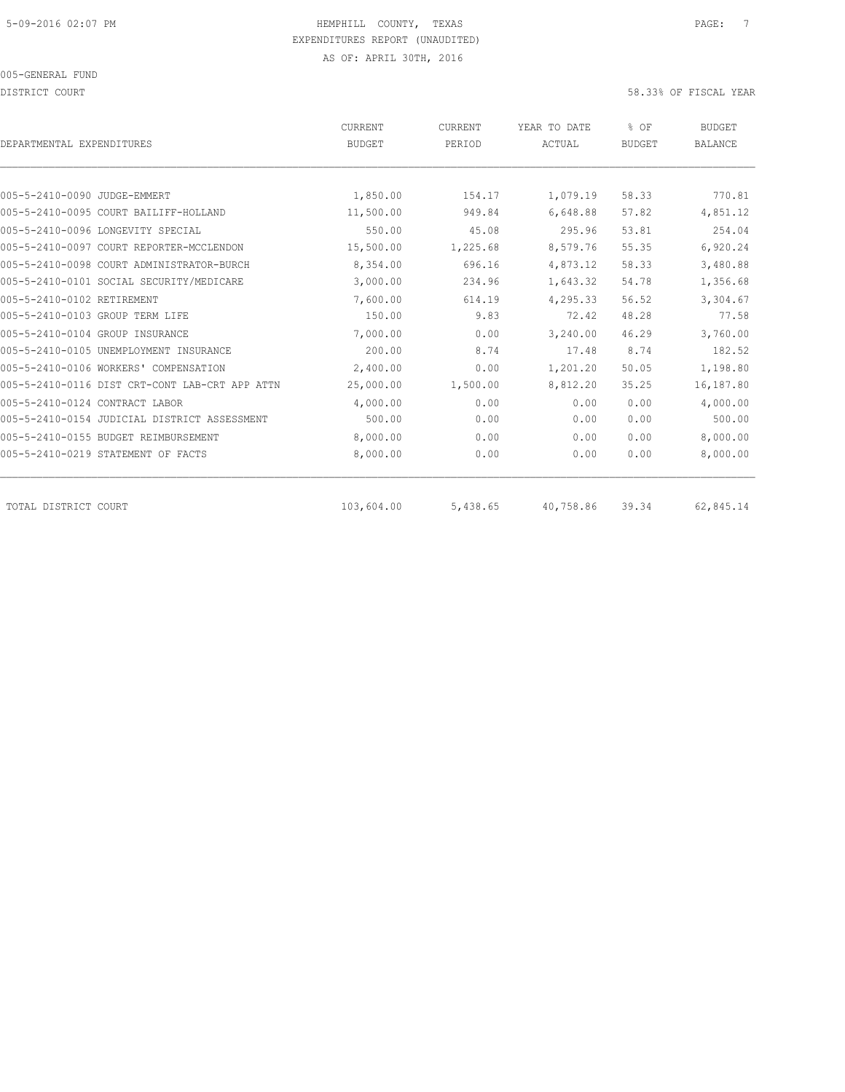DISTRICT COURT 58.33% OF FISCAL YEAR

| DEPARTMENTAL EXPENDITURES                      | <b>CURRENT</b><br><b>BUDGET</b> | CURRENT<br>PERIOD | YEAR TO DATE<br>ACTUAL | % OF<br><b>BUDGET</b> | <b>BUDGET</b><br><b>BALANCE</b> |
|------------------------------------------------|---------------------------------|-------------------|------------------------|-----------------------|---------------------------------|
|                                                |                                 |                   |                        |                       |                                 |
| 005-5-2410-0090 JUDGE-EMMERT                   | 1,850.00                        | 154.17            | 1,079.19               | 58.33                 | 770.81                          |
| 005-5-2410-0095 COURT BAILIFF-HOLLAND          | 11,500.00                       | 949.84            | 6,648.88               | 57.82                 | 4,851.12                        |
| 005-5-2410-0096 LONGEVITY SPECIAL              | 550.00                          | 45.08             | 295.96                 | 53.81                 | 254.04                          |
| 005-5-2410-0097 COURT REPORTER-MCCLENDON       | 15,500.00                       | 1,225.68          | 8,579.76               | 55.35                 | 6,920.24                        |
| 005-5-2410-0098 COURT ADMINISTRATOR-BURCH      | 8,354.00                        | 696.16            | 4,873.12               | 58.33                 | 3,480.88                        |
| 005-5-2410-0101 SOCIAL SECURITY/MEDICARE       | 3,000.00                        | 234.96            | 1,643.32               | 54.78                 | 1,356.68                        |
| 005-5-2410-0102 RETIREMENT                     | 7,600.00                        | 614.19            | 4,295.33               | 56.52                 | 3,304.67                        |
| 005-5-2410-0103 GROUP TERM LIFE                | 150.00                          | 9.83              | 72.42                  | 48.28                 | 77.58                           |
| 005-5-2410-0104 GROUP INSURANCE                | 7,000.00                        | 0.00              | 3,240.00               | 46.29                 | 3,760.00                        |
| 005-5-2410-0105 UNEMPLOYMENT INSURANCE         | 200.00                          | 8.74              | 17.48                  | 8.74                  | 182.52                          |
| 005-5-2410-0106 WORKERS' COMPENSATION          | 2,400.00                        | 0.00              | 1,201.20               | 50.05                 | 1,198.80                        |
| 005-5-2410-0116 DIST CRT-CONT LAB-CRT APP ATTN | 25,000.00                       | 1,500.00          | 8,812.20               | 35.25                 | 16,187.80                       |
| 005-5-2410-0124 CONTRACT LABOR                 | 4,000.00                        | 0.00              | 0.00                   | 0.00                  | 4,000.00                        |
| 005-5-2410-0154 JUDICIAL DISTRICT ASSESSMENT   | 500.00                          | 0.00              | 0.00                   | 0.00                  | 500.00                          |
| 005-5-2410-0155 BUDGET REIMBURSEMENT           | 8,000.00                        | 0.00              | 0.00                   | 0.00                  | 8,000.00                        |
| 005-5-2410-0219 STATEMENT OF FACTS             | 8,000.00                        | 0.00              | 0.00                   | 0.00                  | 8,000.00                        |
| TOTAL DISTRICT COURT                           | 103,604.00                      | 5,438.65          | 40,758.86              | 39.34                 | 62,845.14                       |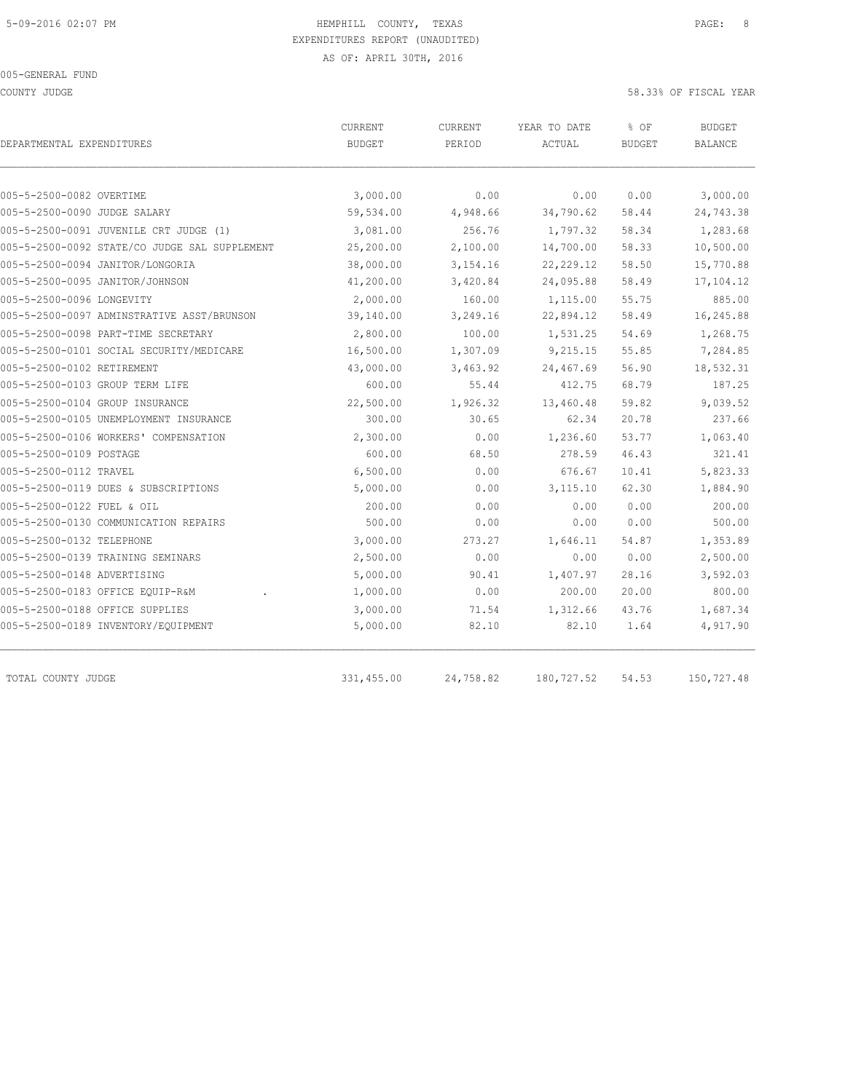COUNTY JUDGE 58.33% OF FISCAL YEAR

| DEPARTMENTAL EXPENDITURES                     | CURRENT<br><b>BUDGET</b> | CURRENT<br>PERIOD | YEAR TO DATE<br>ACTUAL | % OF<br><b>BUDGET</b> | <b>BUDGET</b><br><b>BALANCE</b> |
|-----------------------------------------------|--------------------------|-------------------|------------------------|-----------------------|---------------------------------|
|                                               |                          |                   |                        |                       |                                 |
| 005-5-2500-0082 OVERTIME                      | 3,000.00                 | 0.00              | 0.00                   | 0.00                  | 3,000.00                        |
| 005-5-2500-0090 JUDGE SALARY                  | 59,534.00                | 4,948.66          | 34,790.62              | 58.44                 | 24,743.38                       |
| 005-5-2500-0091 JUVENILE CRT JUDGE (1)        | 3,081.00                 | 256.76            | 1,797.32               | 58.34                 | 1,283.68                        |
| 005-5-2500-0092 STATE/CO JUDGE SAL SUPPLEMENT | 25,200.00                | 2,100.00          | 14,700.00              | 58.33                 | 10,500.00                       |
| 005-5-2500-0094 JANITOR/LONGORIA              | 38,000.00                | 3,154.16          | 22, 229.12             | 58.50                 | 15,770.88                       |
| 005-5-2500-0095 JANITOR/JOHNSON               | 41,200.00                | 3,420.84          | 24,095.88              | 58.49                 | 17,104.12                       |
| 005-5-2500-0096 LONGEVITY                     | 2,000.00                 | 160.00            | 1,115.00               | 55.75                 | 885.00                          |
| 005-5-2500-0097 ADMINSTRATIVE ASST/BRUNSON    | 39,140.00                | 3,249.16          | 22,894.12              | 58.49                 | 16,245.88                       |
| 005-5-2500-0098 PART-TIME SECRETARY           | 2,800.00                 | 100.00            | 1,531.25               | 54.69                 | 1,268.75                        |
| 005-5-2500-0101 SOCIAL SECURITY/MEDICARE      | 16,500.00                | 1,307.09          | 9,215.15               | 55.85                 | 7,284.85                        |
| 005-5-2500-0102 RETIREMENT                    | 43,000.00                | 3,463.92          | 24,467.69              | 56.90                 | 18,532.31                       |
| 005-5-2500-0103 GROUP TERM LIFE               | 600.00                   | 55.44             | 412.75                 | 68.79                 | 187.25                          |
| 005-5-2500-0104 GROUP INSURANCE               | 22,500.00                | 1,926.32          | 13,460.48              | 59.82                 | 9,039.52                        |
| 005-5-2500-0105 UNEMPLOYMENT INSURANCE        | 300.00                   | 30.65             | 62.34                  | 20.78                 | 237.66                          |
| 005-5-2500-0106 WORKERS' COMPENSATION         | 2,300.00                 | 0.00              | 1,236.60               | 53.77                 | 1,063.40                        |
| 005-5-2500-0109 POSTAGE                       | 600.00                   | 68.50             | 278.59                 | 46.43                 | 321.41                          |
| 005-5-2500-0112 TRAVEL                        | 6,500.00                 | 0.00              | 676.67                 | 10.41                 | 5,823.33                        |
| 005-5-2500-0119 DUES & SUBSCRIPTIONS          | 5,000.00                 | 0.00              | 3,115.10               | 62.30                 | 1,884.90                        |
| 005-5-2500-0122 FUEL & OIL                    | 200.00                   | 0.00              | 0.00                   | 0.00                  | 200.00                          |
| 005-5-2500-0130 COMMUNICATION REPAIRS         | 500.00                   | 0.00              | 0.00                   | 0.00                  | 500.00                          |
| 005-5-2500-0132 TELEPHONE                     | 3,000.00                 | 273.27            | 1,646.11               | 54.87                 | 1,353.89                        |
| 005-5-2500-0139 TRAINING SEMINARS             | 2,500.00                 | 0.00              | 0.00                   | 0.00                  | 2,500.00                        |
| 005-5-2500-0148 ADVERTISING                   | 5,000.00                 | 90.41             | 1,407.97               | 28.16                 | 3,592.03                        |
| 005-5-2500-0183 OFFICE EQUIP-R&M              | 1,000.00                 | 0.00              | 200.00                 | 20.00                 | 800.00                          |
| 005-5-2500-0188 OFFICE SUPPLIES               | 3,000.00                 | 71.54             | 1,312.66               | 43.76                 | 1,687.34                        |
| 005-5-2500-0189 INVENTORY/EQUIPMENT           | 5,000.00                 | 82.10             | 82.10                  | 1.64                  | 4,917.90                        |
|                                               |                          |                   |                        |                       |                                 |

TOTAL COUNTY JUDGE 331,455.00 24,758.82 180,727.52 54.53 150,727.48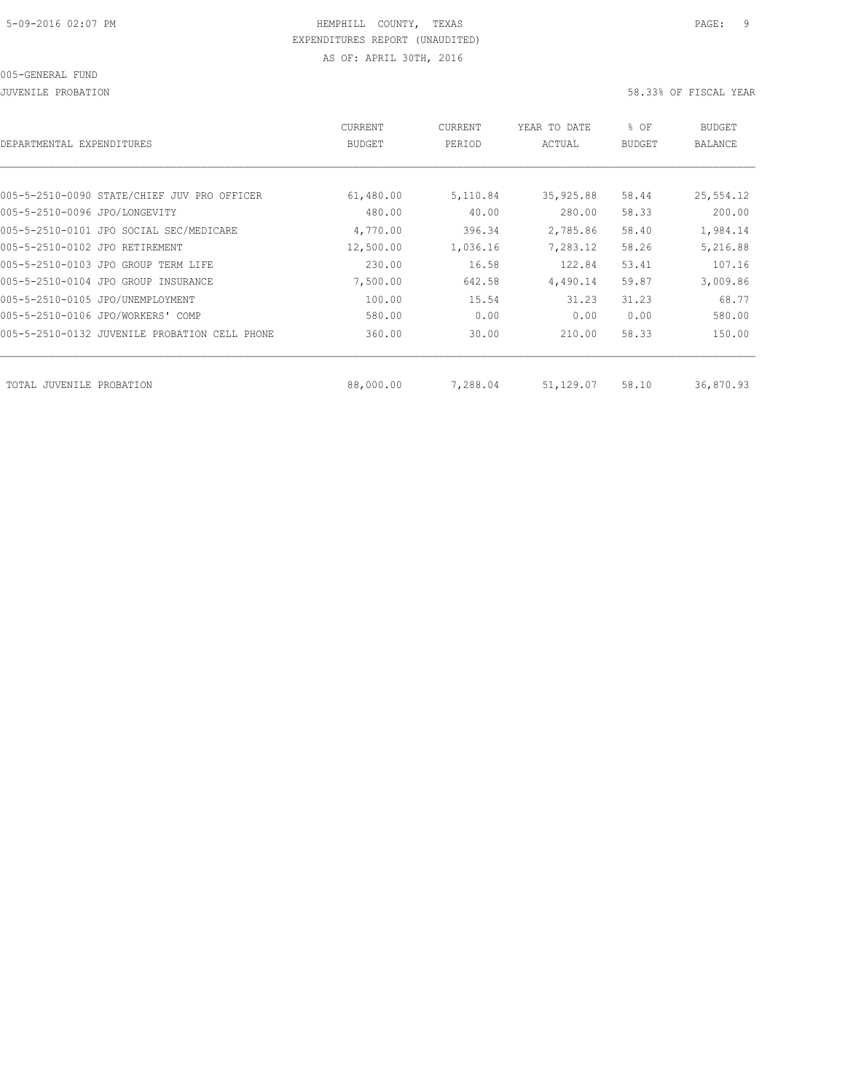| DEPARTMENTAL EXPENDITURES                     | <b>CURRENT</b><br><b>BUDGET</b> | CURRENT<br>PERIOD | YEAR TO DATE<br>ACTUAL | % OF<br><b>BUDGET</b> | BUDGET<br>BALANCE |
|-----------------------------------------------|---------------------------------|-------------------|------------------------|-----------------------|-------------------|
|                                               |                                 |                   |                        |                       |                   |
| 005-5-2510-0090 STATE/CHIEF JUV PRO OFFICER   | 61,480.00                       | 5,110.84          | 35,925.88              | 58.44                 | 25,554.12         |
| 005-5-2510-0096 JPO/LONGEVITY                 | 480.00                          | 40.00             | 280.00                 | 58.33                 | 200.00            |
| 005-5-2510-0101 JPO SOCIAL SEC/MEDICARE       | 4,770.00                        | 396.34            | 2,785.86               | 58.40                 | 1,984.14          |
| 005-5-2510-0102 JPO RETIREMENT                | 12,500.00                       | 1,036.16          | 7,283.12               | 58.26                 | 5,216.88          |
| 005-5-2510-0103 JPO GROUP TERM LIFE           | 230.00                          | 16.58             | 122.84                 | 53.41                 | 107.16            |
| 005-5-2510-0104 JPO GROUP INSURANCE           | 7,500.00                        | 642.58            | 4,490.14               | 59.87                 | 3,009.86          |
| 005-5-2510-0105 JPO/UNEMPLOYMENT              | 100.00                          | 15.54             | 31.23                  | 31.23                 | 68.77             |
| 005-5-2510-0106 JPO/WORKERS' COMP             | 580.00                          | 0.00              | 0.00                   | 0.00                  | 580.00            |
| 005-5-2510-0132 JUVENILE PROBATION CELL PHONE | 360.00                          | 30.00             | 210.00                 | 58.33                 | 150.00            |
|                                               |                                 |                   |                        |                       |                   |
| TOTAL JUVENILE PROBATION                      | 88,000.00                       | 7,288.04          | 51,129.07              | 58.10                 | 36,870.93         |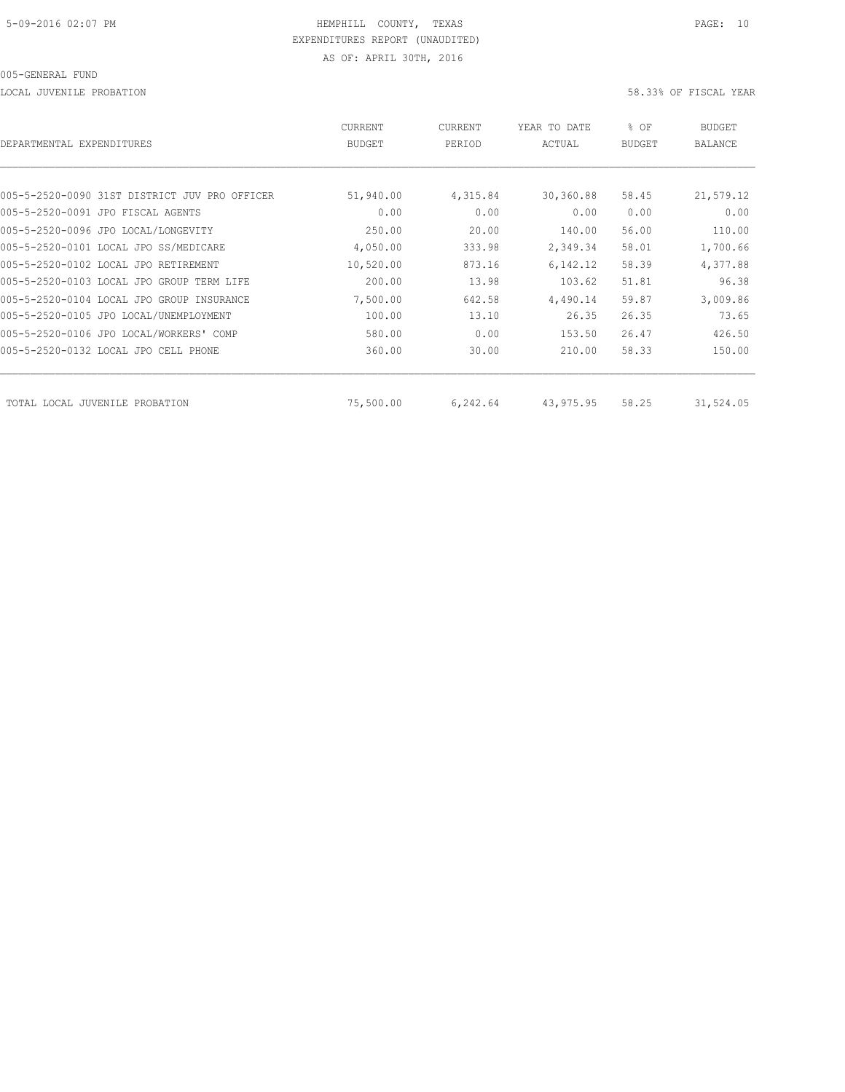| DEPARTMENTAL EXPENDITURES                     | <b>CURRENT</b><br><b>BUDGET</b> | CURRENT<br>PERIOD | YEAR TO DATE<br>ACTUAL | % OF<br><b>BUDGET</b> | <b>BUDGET</b><br><b>BALANCE</b> |
|-----------------------------------------------|---------------------------------|-------------------|------------------------|-----------------------|---------------------------------|
|                                               |                                 |                   |                        |                       |                                 |
| 005-5-2520-0090 31ST DISTRICT JUV PRO OFFICER | 51,940.00                       | 4,315.84          | 30,360.88              | 58.45                 | 21,579.12                       |
| 005-5-2520-0091 JPO FISCAL AGENTS             | 0.00                            | 0.00              | 0.00                   | 0.00                  | 0.00                            |
| 005-5-2520-0096 JPO LOCAL/LONGEVITY           | 250.00                          | 20.00             | 140.00                 | 56.00                 | 110.00                          |
| 005-5-2520-0101 LOCAL JPO SS/MEDICARE         | 4,050.00                        | 333.98            | 2,349.34               | 58.01                 | 1,700.66                        |
| 005-5-2520-0102 LOCAL JPO RETIREMENT          | 10,520.00                       | 873.16            | 6,142.12               | 58.39                 | 4,377.88                        |
| 005-5-2520-0103 LOCAL JPO GROUP TERM LIFE     | 200.00                          | 13.98             | 103.62                 | 51.81                 | 96.38                           |
| 005-5-2520-0104 LOCAL JPO GROUP INSURANCE     | 7,500.00                        | 642.58            | 4,490.14               | 59.87                 | 3,009.86                        |
| 005-5-2520-0105 JPO LOCAL/UNEMPLOYMENT        | 100.00                          | 13.10             | 26.35                  | 26.35                 | 73.65                           |
| 005-5-2520-0106 JPO LOCAL/WORKERS' COMP       | 580.00                          | 0.00              | 153.50                 | 26.47                 | 426.50                          |
| 005-5-2520-0132 LOCAL JPO CELL PHONE          | 360.00                          | 30.00             | 210.00                 | 58.33                 | 150.00                          |
|                                               |                                 |                   |                        |                       |                                 |
| TOTAL LOCAL JUVENILE PROBATION                | 75,500.00                       | 6,242.64          | 43,975.95              | 58.25                 | 31,524.05                       |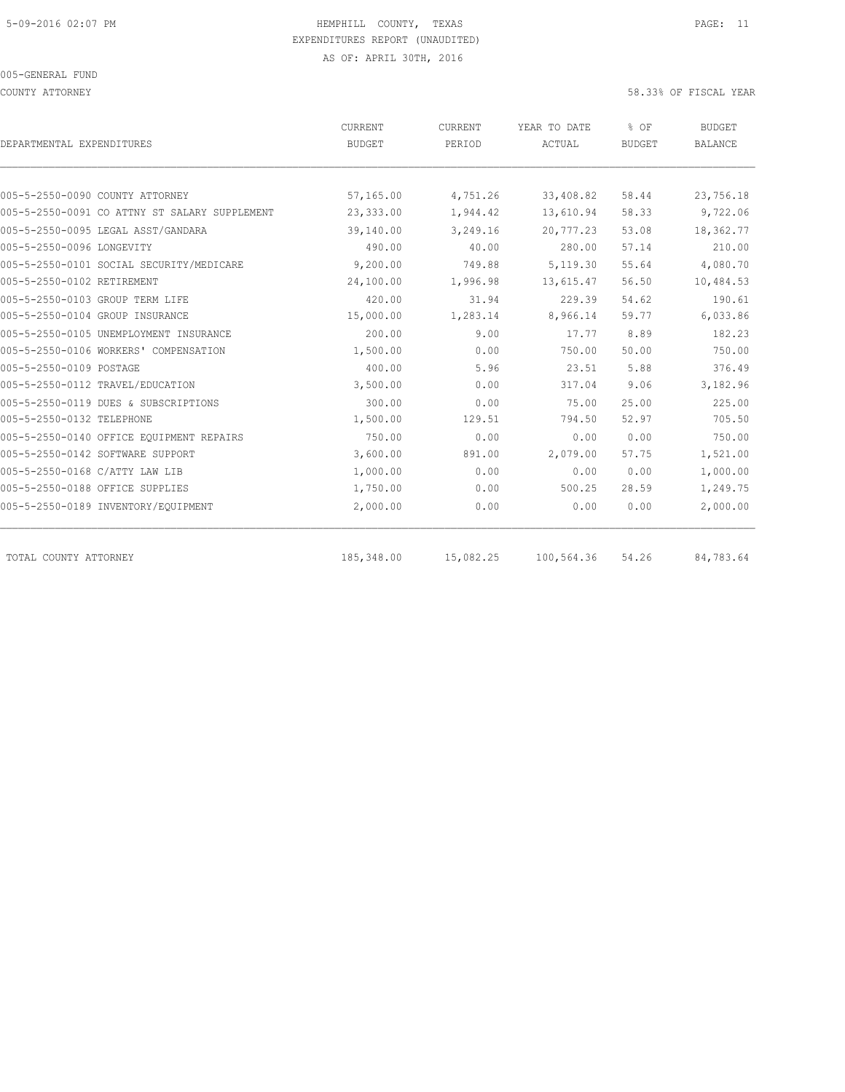COUNTY ATTORNEY 58.33% OF FISCAL YEAR

| DEPARTMENTAL EXPENDITURES                     | CURRENT<br><b>BUDGET</b> | CURRENT<br>PERIOD | YEAR TO DATE<br>ACTUAL | % OF<br><b>BUDGET</b> | <b>BUDGET</b><br><b>BALANCE</b> |
|-----------------------------------------------|--------------------------|-------------------|------------------------|-----------------------|---------------------------------|
|                                               |                          |                   |                        |                       |                                 |
| 005-5-2550-0090 COUNTY ATTORNEY               | 57,165.00                | 4,751.26          | 33,408.82              | 58.44                 | 23,756.18                       |
| 005-5-2550-0091 CO ATTNY ST SALARY SUPPLEMENT | 23,333.00                | 1,944.42          | 13,610.94              | 58.33                 | 9,722.06                        |
| 005-5-2550-0095 LEGAL ASST/GANDARA            | 39,140.00                | 3,249.16          | 20,777.23              | 53.08                 | 18,362.77                       |
| 005-5-2550-0096 LONGEVITY                     | 490.00                   | 40.00             | 280.00                 | 57.14                 | 210.00                          |
| 005-5-2550-0101 SOCIAL SECURITY/MEDICARE      | 9,200.00                 | 749.88            | 5,119.30               | 55.64                 | 4,080.70                        |
| 005-5-2550-0102 RETIREMENT                    | 24,100.00                | 1,996.98          | 13,615.47              | 56.50                 | 10,484.53                       |
| 005-5-2550-0103 GROUP TERM LIFE               | 420.00                   | 31.94             | 229.39                 | 54.62                 | 190.61                          |
| 005-5-2550-0104 GROUP INSURANCE               | 15,000.00                | 1,283.14          | 8,966.14               | 59.77                 | 6,033.86                        |
| 005-5-2550-0105 UNEMPLOYMENT INSURANCE        | 200.00                   | 9.00              | 17.77                  | 8.89                  | 182.23                          |
| 005-5-2550-0106 WORKERS' COMPENSATION         | 1,500.00                 | 0.00              | 750.00                 | 50.00                 | 750.00                          |
| 005-5-2550-0109 POSTAGE                       | 400.00                   | 5.96              | 23.51                  | 5.88                  | 376.49                          |
| 005-5-2550-0112 TRAVEL/EDUCATION              | 3,500.00                 | 0.00              | 317.04                 | 9.06                  | 3,182.96                        |
| 005-5-2550-0119 DUES & SUBSCRIPTIONS          | 300.00                   | 0.00              | 75.00                  | 25.00                 | 225.00                          |
| 005-5-2550-0132 TELEPHONE                     | 1,500.00                 | 129.51            | 794.50                 | 52.97                 | 705.50                          |
| 005-5-2550-0140 OFFICE EOUIPMENT REPAIRS      | 750.00                   | 0.00              | 0.00                   | 0.00                  | 750.00                          |
| 005-5-2550-0142 SOFTWARE SUPPORT              | 3,600.00                 | 891.00            | 2,079.00               | 57.75                 | 1,521.00                        |
| 005-5-2550-0168 C/ATTY LAW LIB                | 1,000.00                 | 0.00              | 0.00                   | 0.00                  | 1,000.00                        |
| 005-5-2550-0188 OFFICE SUPPLIES               | 1,750.00                 | 0.00              | 500.25                 | 28.59                 | 1,249.75                        |
| 005-5-2550-0189 INVENTORY/EQUIPMENT           | 2,000.00                 | 0.00              | 0.00                   | 0.00                  | 2,000.00                        |
| TOTAL COUNTY ATTORNEY                         | 185,348.00               | 15,082.25         | 100,564.36             | 54.26                 | 84,783.64                       |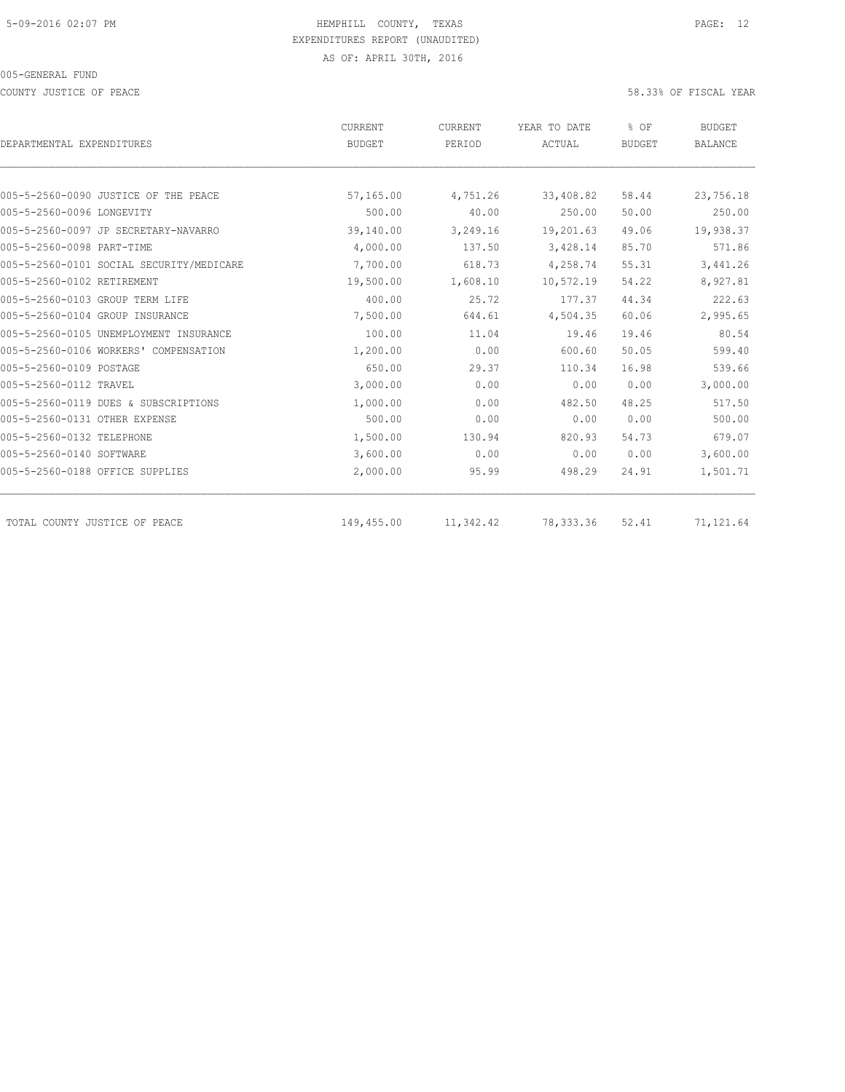COUNTY JUSTICE OF PEACE THE SECOND SERVICE OF PEACE AND SOLUTION OF SECOND SERVICE OF FISCAL YEAR

|                                          | <b>CURRENT</b> | CURRENT   | YEAR TO DATE | % OF          | <b>BUDGET</b><br><b>BALANCE</b> |
|------------------------------------------|----------------|-----------|--------------|---------------|---------------------------------|
| DEPARTMENTAL EXPENDITURES                | <b>BUDGET</b>  | PERIOD    | ACTUAL       | <b>BUDGET</b> |                                 |
|                                          |                |           |              |               |                                 |
| 005-5-2560-0090 JUSTICE OF THE PEACE     | 57,165.00      | 4,751.26  | 33,408.82    | 58.44         | 23,756.18                       |
| 005-5-2560-0096 LONGEVITY                | 500.00         | 40.00     | 250.00       | 50.00         | 250.00                          |
| 005-5-2560-0097 JP SECRETARY-NAVARRO     | 39,140.00      | 3,249.16  | 19,201.63    | 49.06         | 19,938.37                       |
| 005-5-2560-0098 PART-TIME                | 4,000.00       | 137.50    | 3,428.14     | 85.70         | 571.86                          |
| 005-5-2560-0101 SOCIAL SECURITY/MEDICARE | 7,700.00       | 618.73    | 4,258.74     | 55.31         | 3,441.26                        |
| 005-5-2560-0102 RETIREMENT               | 19,500.00      | 1,608.10  | 10,572.19    | 54.22         | 8,927.81                        |
| 005-5-2560-0103 GROUP TERM LIFE          | 400.00         | 25.72     | 177.37       | 44.34         | 222.63                          |
| 005-5-2560-0104 GROUP INSURANCE          | 7,500.00       | 644.61    | 4,504.35     | 60.06         | 2,995.65                        |
| 005-5-2560-0105 UNEMPLOYMENT INSURANCE   | 100.00         | 11.04     | 19.46        | 19.46         | 80.54                           |
| 005-5-2560-0106 WORKERS' COMPENSATION    | 1,200.00       | 0.00      | 600.60       | 50.05         | 599.40                          |
| 005-5-2560-0109 POSTAGE                  | 650.00         | 29.37     | 110.34       | 16.98         | 539.66                          |
| 005-5-2560-0112 TRAVEL                   | 3,000.00       | 0.00      | 0.00         | 0.00          | 3,000.00                        |
| 005-5-2560-0119 DUES & SUBSCRIPTIONS     | 1,000.00       | 0.00      | 482.50       | 48.25         | 517.50                          |
| 005-5-2560-0131 OTHER EXPENSE            | 500.00         | 0.00      | 0.00         | 0.00          | 500.00                          |
| 005-5-2560-0132 TELEPHONE                | 1,500.00       | 130.94    | 820.93       | 54.73         | 679.07                          |
| 005-5-2560-0140 SOFTWARE                 | 3,600.00       | 0.00      | 0.00         | 0.00          | 3,600.00                        |
| 005-5-2560-0188 OFFICE SUPPLIES          | 2,000.00       | 95.99     | 498.29       | 24.91         | 1,501.71                        |
| TOTAL COUNTY JUSTICE OF PEACE            | 149,455.00     | 11,342.42 | 78, 333.36   | 52.41         | 71,121.64                       |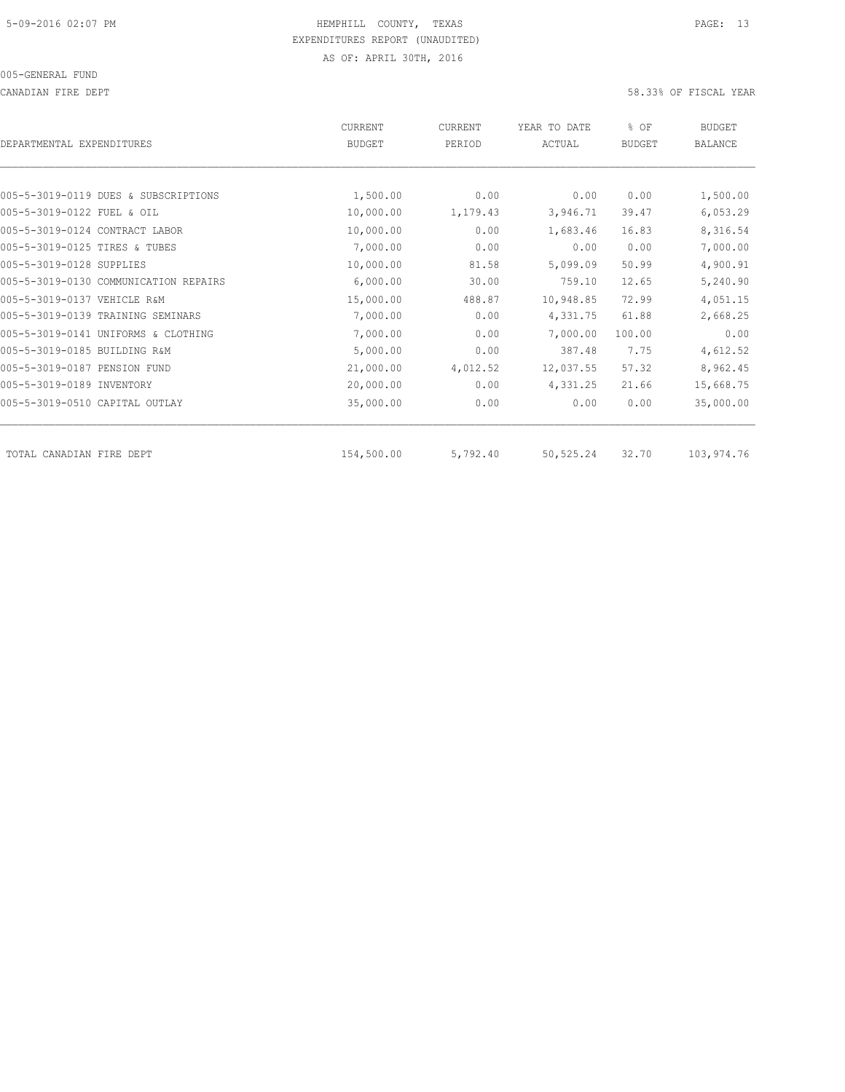CANADIAN FIRE DEPT 58.33% OF FISCAL YEAR

| DEPARTMENTAL EXPENDITURES             | <b>CURRENT</b><br><b>BUDGET</b> | CURRENT<br>PERIOD | YEAR TO DATE<br>ACTUAL | % OF<br><b>BUDGET</b> | <b>BUDGET</b><br><b>BALANCE</b> |
|---------------------------------------|---------------------------------|-------------------|------------------------|-----------------------|---------------------------------|
|                                       |                                 |                   |                        |                       |                                 |
| 005-5-3019-0119 DUES & SUBSCRIPTIONS  | 1,500.00                        | 0.00              | 0.00                   | 0.00                  | 1,500.00                        |
| 005-5-3019-0122 FUEL & OIL            | 10,000.00                       | 1,179.43          | 3,946.71               | 39.47                 | 6,053.29                        |
| 005-5-3019-0124 CONTRACT LABOR        | 10,000.00                       | 0.00              | 1,683.46               | 16.83                 | 8,316.54                        |
| 005-5-3019-0125 TIRES & TUBES         | 7,000.00                        | 0.00              | 0.00                   | 0.00                  | 7,000.00                        |
| 005-5-3019-0128 SUPPLIES              | 10,000.00                       | 81.58             | 5,099.09               | 50.99                 | 4,900.91                        |
| 005-5-3019-0130 COMMUNICATION REPAIRS | 6,000.00                        | 30.00             | 759.10                 | 12.65                 | 5,240.90                        |
| 005-5-3019-0137 VEHICLE R&M           | 15,000.00                       | 488.87            | 10,948.85              | 72.99                 | 4,051.15                        |
| 005-5-3019-0139 TRAINING SEMINARS     | 7,000.00                        | 0.00              | 4,331.75               | 61.88                 | 2,668.25                        |
| 005-5-3019-0141 UNIFORMS & CLOTHING   | 7,000.00                        | 0.00              | 7,000.00               | 100.00                | 0.00                            |
| 005-5-3019-0185 BUILDING R&M          | 5,000.00                        | 0.00              | 387.48                 | 7.75                  | 4,612.52                        |
| 005-5-3019-0187 PENSION FUND          | 21,000.00                       | 4,012.52          | 12,037.55              | 57.32                 | 8,962.45                        |
| 005-5-3019-0189 INVENTORY             | 20,000.00                       | 0.00              | 4,331.25               | 21.66                 | 15,668.75                       |
| 005-5-3019-0510 CAPITAL OUTLAY        | 35,000.00                       | 0.00              | 0.00                   | 0.00                  | 35,000.00                       |
| TOTAL CANADIAN FIRE DEPT              | 154,500.00                      | 5,792.40          | 50, 525.24             | 32.70                 | 103,974.76                      |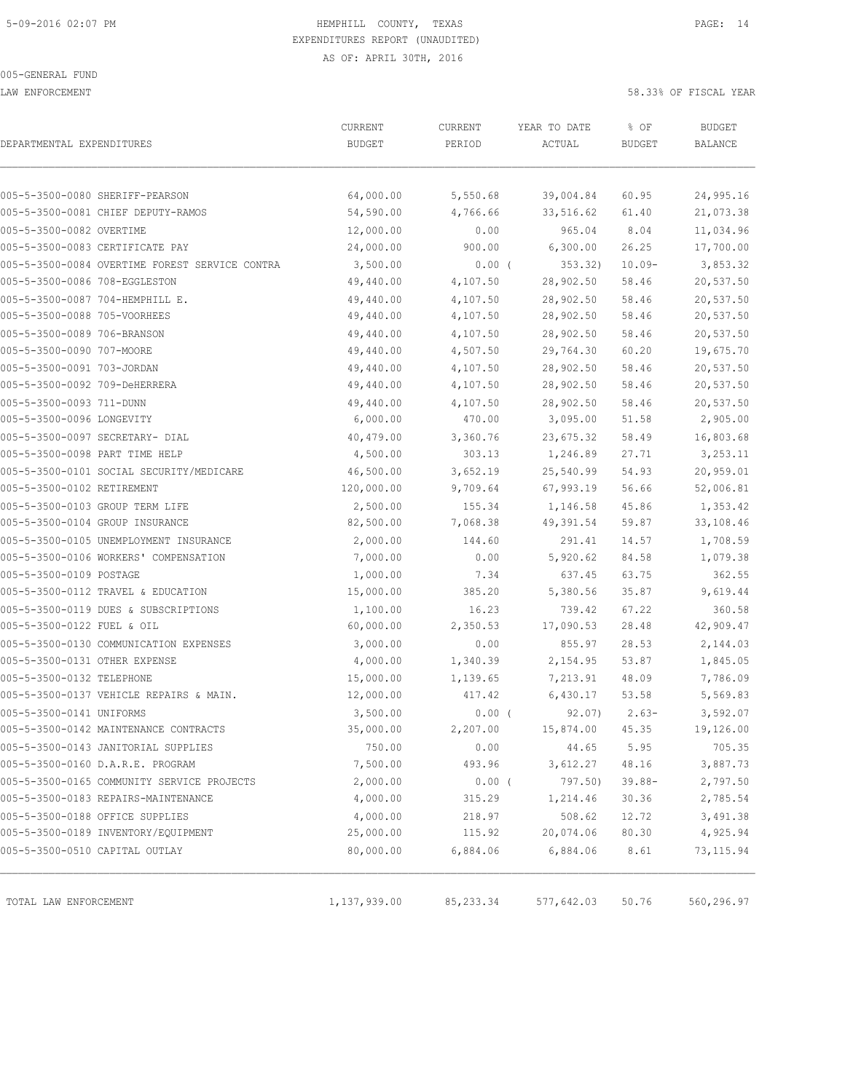LAW ENFORCEMENT 58.33% OF FISCAL YEAR

| DEPARTMENTAL EXPENDITURES        |                                                | CURRENT<br><b>BUDGET</b> | CURRENT<br>PERIOD | YEAR TO DATE<br>ACTUAL | % OF<br><b>BUDGET</b> | <b>BUDGET</b><br>BALANCE |
|----------------------------------|------------------------------------------------|--------------------------|-------------------|------------------------|-----------------------|--------------------------|
|                                  |                                                |                          |                   |                        |                       |                          |
| 005-5-3500-0080 SHERIFF-PEARSON  |                                                | 64,000.00                | 5,550.68          | 39,004.84              | 60.95                 | 24,995.16                |
|                                  | 005-5-3500-0081 CHIEF DEPUTY-RAMOS             | 54,590.00                | 4,766.66          | 33,516.62              | 61.40                 | 21,073.38                |
| 005-5-3500-0082 OVERTIME         |                                                | 12,000.00                | 0.00              | 965.04                 | 8.04                  | 11,034.96                |
| 005-5-3500-0083 CERTIFICATE PAY  |                                                | 24,000.00                | 900.00            | 6,300.00               | 26.25                 | 17,700.00                |
|                                  | 005-5-3500-0084 OVERTIME FOREST SERVICE CONTRA | 3,500.00                 | $0.00$ (          | 353.32)                | $10.09 -$             | 3,853.32                 |
| 005-5-3500-0086 708-EGGLESTON    |                                                | 49,440.00                | 4,107.50          | 28,902.50              | 58.46                 | 20,537.50                |
| 005-5-3500-0087 704-HEMPHILL E.  |                                                | 49,440.00                | 4,107.50          | 28,902.50              | 58.46                 | 20,537.50                |
| 005-5-3500-0088 705-VOORHEES     |                                                | 49,440.00                | 4,107.50          | 28,902.50              | 58.46                 | 20,537.50                |
| 005-5-3500-0089 706-BRANSON      |                                                | 49,440.00                | 4,107.50          | 28,902.50              | 58.46                 | 20,537.50                |
| 005-5-3500-0090 707-MOORE        |                                                | 49,440.00                | 4,507.50          | 29,764.30              | 60.20                 | 19,675.70                |
| 005-5-3500-0091 703-JORDAN       |                                                | 49,440.00                | 4,107.50          | 28,902.50              | 58.46                 | 20,537.50                |
| 005-5-3500-0092 709-DeHERRERA    |                                                | 49,440.00                | 4,107.50          | 28,902.50              | 58.46                 | 20,537.50                |
| 005-5-3500-0093 711-DUNN         |                                                | 49,440.00                | 4,107.50          | 28,902.50              | 58.46                 | 20,537.50                |
| 005-5-3500-0096 LONGEVITY        |                                                | 6,000.00                 | 470.00            | 3,095.00               | 51.58                 | 2,905.00                 |
| 005-5-3500-0097 SECRETARY- DIAL  |                                                | 40,479.00                | 3,360.76          | 23,675.32              | 58.49                 | 16,803.68                |
| 005-5-3500-0098 PART TIME HELP   |                                                | 4,500.00                 | 303.13            | 1,246.89               | 27.71                 | 3,253.11                 |
|                                  | 005-5-3500-0101 SOCIAL SECURITY/MEDICARE       | 46,500.00                | 3,652.19          | 25,540.99              | 54.93                 | 20,959.01                |
| 005-5-3500-0102 RETIREMENT       |                                                | 120,000.00               | 9,709.64          | 67,993.19              | 56.66                 | 52,006.81                |
| 005-5-3500-0103 GROUP TERM LIFE  |                                                | 2,500.00                 | 155.34            | 1,146.58               | 45.86                 | 1,353.42                 |
| 005-5-3500-0104 GROUP INSURANCE  |                                                | 82,500.00                | 7,068.38          | 49,391.54              | 59.87                 | 33,108.46                |
|                                  | 005-5-3500-0105 UNEMPLOYMENT INSURANCE         | 2,000.00                 | 144.60            | 291.41                 | 14.57                 | 1,708.59                 |
|                                  | 005-5-3500-0106 WORKERS' COMPENSATION          | 7,000.00                 | 0.00              | 5,920.62               | 84.58                 | 1,079.38                 |
| 005-5-3500-0109 POSTAGE          |                                                | 1,000.00                 | 7.34              | 637.45                 | 63.75                 | 362.55                   |
|                                  | 005-5-3500-0112 TRAVEL & EDUCATION             | 15,000.00                | 385.20            | 5,380.56               | 35.87                 | 9,619.44                 |
|                                  | 005-5-3500-0119 DUES & SUBSCRIPTIONS           | 1,100.00                 | 16.23             | 739.42                 | 67.22                 | 360.58                   |
| 005-5-3500-0122 FUEL & OIL       |                                                | 60,000.00                | 2,350.53          | 17,090.53              | 28.48                 | 42,909.47                |
|                                  | 005-5-3500-0130 COMMUNICATION EXPENSES         | 3,000.00                 | 0.00              | 855.97                 | 28.53                 | 2,144.03                 |
| 005-5-3500-0131 OTHER EXPENSE    |                                                | 4,000.00                 | 1,340.39          | 2,154.95               | 53.87                 | 1,845.05                 |
| 005-5-3500-0132 TELEPHONE        |                                                | 15,000.00                | 1,139.65          | 7,213.91               | 48.09                 | 7,786.09                 |
|                                  | 005-5-3500-0137 VEHICLE REPAIRS & MAIN.        | 12,000.00                | 417.42            | 6,430.17               | 53.58                 | 5,569.83                 |
| 005-5-3500-0141 UNIFORMS         |                                                | 3,500.00                 | $0.00$ (          | 92.07)                 | $2.63-$               | 3,592.07                 |
|                                  | 005-5-3500-0142 MAINTENANCE CONTRACTS          | 35,000.00                | 2,207.00          | 15,874.00              | 45.35                 | 19,126.00                |
|                                  | 005-5-3500-0143 JANITORIAL SUPPLIES            | 750.00                   | 0.00              | 44.65                  | 5.95                  | 705.35                   |
| 005-5-3500-0160 D.A.R.E. PROGRAM |                                                | 7,500.00                 | 493.96            | 3,612.27               | 48.16                 | 3,887.73                 |
|                                  | 005-5-3500-0165 COMMUNITY SERVICE PROJECTS     | 2,000.00                 | $0.00$ (          | 797.50)                | $39.88 -$             | 2,797.50                 |
|                                  | 005-5-3500-0183 REPAIRS-MAINTENANCE            | 4,000.00                 | 315.29            | 1,214.46               | 30.36                 | 2,785.54                 |
| 005-5-3500-0188 OFFICE SUPPLIES  |                                                | 4,000.00                 | 218.97            | 508.62                 | 12.72                 | 3,491.38                 |
|                                  | 005-5-3500-0189 INVENTORY/EQUIPMENT            | 25,000.00                | 115.92            | 20,074.06              | 80.30                 | 4,925.94                 |
| 005-5-3500-0510 CAPITAL OUTLAY   |                                                | 80,000.00                | 6,884.06          | 6,884.06               | 8.61                  | 73, 115.94               |
| TOTAL LAW ENFORCEMENT            |                                                | 1,137,939.00             | 85, 233.34        | 577,642.03             | 50.76                 | 560,296.97               |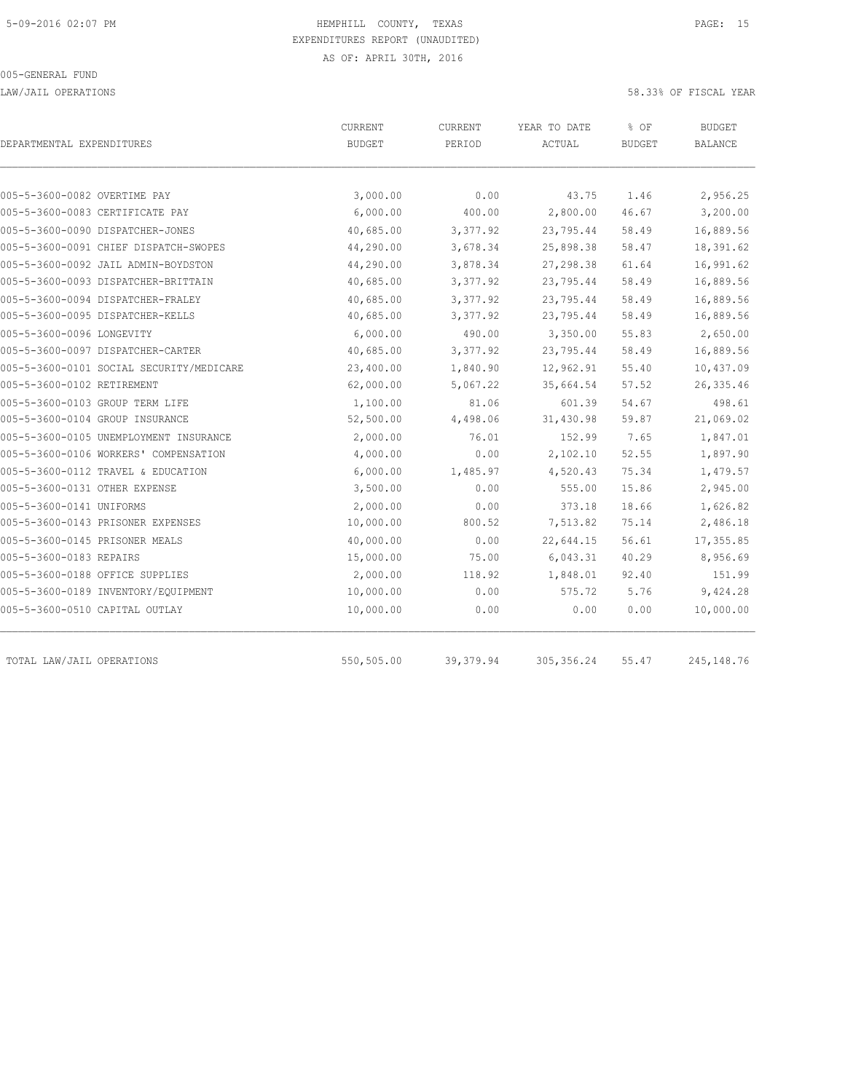LAW/JAIL OPERATIONS 58.33% OF FISCAL YEAR

| DEPARTMENTAL EXPENDITURES                | <b>CURRENT</b><br><b>BUDGET</b> | <b>CURRENT</b><br>PERIOD | YEAR TO DATE<br>ACTUAL | % OF<br><b>BUDGET</b> | BUDGET<br><b>BALANCE</b> |
|------------------------------------------|---------------------------------|--------------------------|------------------------|-----------------------|--------------------------|
|                                          |                                 |                          |                        |                       |                          |
| 005-5-3600-0082 OVERTIME PAY             | 3,000.00                        | 0.00                     | 43.75                  | 1.46                  | 2,956.25                 |
| 005-5-3600-0083 CERTIFICATE PAY          | 6,000.00                        | 400.00                   | 2,800.00               | 46.67                 | 3,200.00                 |
| 005-5-3600-0090 DISPATCHER-JONES         | 40,685.00                       | 3,377.92                 | 23,795.44              | 58.49                 | 16,889.56                |
| 005-5-3600-0091 CHIEF DISPATCH-SWOPES    | 44,290.00                       | 3,678.34                 | 25,898.38              | 58.47                 | 18,391.62                |
| 005-5-3600-0092 JAIL ADMIN-BOYDSTON      | 44,290.00                       | 3,878.34                 | 27, 298.38             | 61.64                 | 16,991.62                |
| 005-5-3600-0093 DISPATCHER-BRITTAIN      | 40,685.00                       | 3,377.92                 | 23,795.44              | 58.49                 | 16,889.56                |
| 005-5-3600-0094 DISPATCHER-FRALEY        | 40,685.00                       | 3,377.92                 | 23,795.44              | 58.49                 | 16,889.56                |
| 005-5-3600-0095 DISPATCHER-KELLS         | 40,685.00                       | 3,377.92                 | 23,795.44              | 58.49                 | 16,889.56                |
| 005-5-3600-0096 LONGEVITY                | 6,000.00                        | 490.00                   | 3,350.00               | 55.83                 | 2,650.00                 |
| 005-5-3600-0097 DISPATCHER-CARTER        | 40,685.00                       | 3,377.92                 | 23,795.44              | 58.49                 | 16,889.56                |
| 005-5-3600-0101 SOCIAL SECURITY/MEDICARE | 23,400.00                       | 1,840.90                 | 12,962.91              | 55.40                 | 10,437.09                |
| 005-5-3600-0102 RETIREMENT               | 62,000.00                       | 5,067.22                 | 35,664.54              | 57.52                 | 26, 335.46               |
| 005-5-3600-0103 GROUP TERM LIFE          | 1,100.00                        | 81.06                    | 601.39                 | 54.67                 | 498.61                   |
| 005-5-3600-0104 GROUP INSURANCE          | 52,500.00                       | 4,498.06                 | 31,430.98              | 59.87                 | 21,069.02                |
| 005-5-3600-0105 UNEMPLOYMENT INSURANCE   | 2,000.00                        | 76.01                    | 152.99                 | 7.65                  | 1,847.01                 |
| 005-5-3600-0106 WORKERS' COMPENSATION    | 4,000.00                        | 0.00                     | 2,102.10               | 52.55                 | 1,897.90                 |
| 005-5-3600-0112 TRAVEL & EDUCATION       | 6,000.00                        | 1,485.97                 | 4,520.43               | 75.34                 | 1,479.57                 |
| 005-5-3600-0131 OTHER EXPENSE            | 3,500.00                        | 0.00                     | 555.00                 | 15.86                 | 2,945.00                 |
| 005-5-3600-0141 UNIFORMS                 | 2,000.00                        | 0.00                     | 373.18                 | 18.66                 | 1,626.82                 |
| 005-5-3600-0143 PRISONER EXPENSES        | 10,000.00                       | 800.52                   | 7,513.82               | 75.14                 | 2,486.18                 |
| 005-5-3600-0145 PRISONER MEALS           | 40,000.00                       | 0.00                     | 22,644.15              | 56.61                 | 17,355.85                |
| 005-5-3600-0183 REPAIRS                  | 15,000.00                       | 75.00                    | 6,043.31               | 40.29                 | 8,956.69                 |
| 005-5-3600-0188 OFFICE SUPPLIES          | 2,000.00                        | 118.92                   | 1,848.01               | 92.40                 | 151.99                   |
| 005-5-3600-0189 INVENTORY/EQUIPMENT      | 10,000.00                       | 0.00                     | 575.72                 | 5.76                  | 9,424.28                 |
| 005-5-3600-0510 CAPITAL OUTLAY           | 10,000.00                       | 0.00                     | 0.00                   | 0.00                  | 10,000.00                |
| TOTAL LAW/JAIL OPERATIONS                | 550,505.00                      | 39, 379.94               | 305, 356.24            | 55.47                 | 245, 148.76              |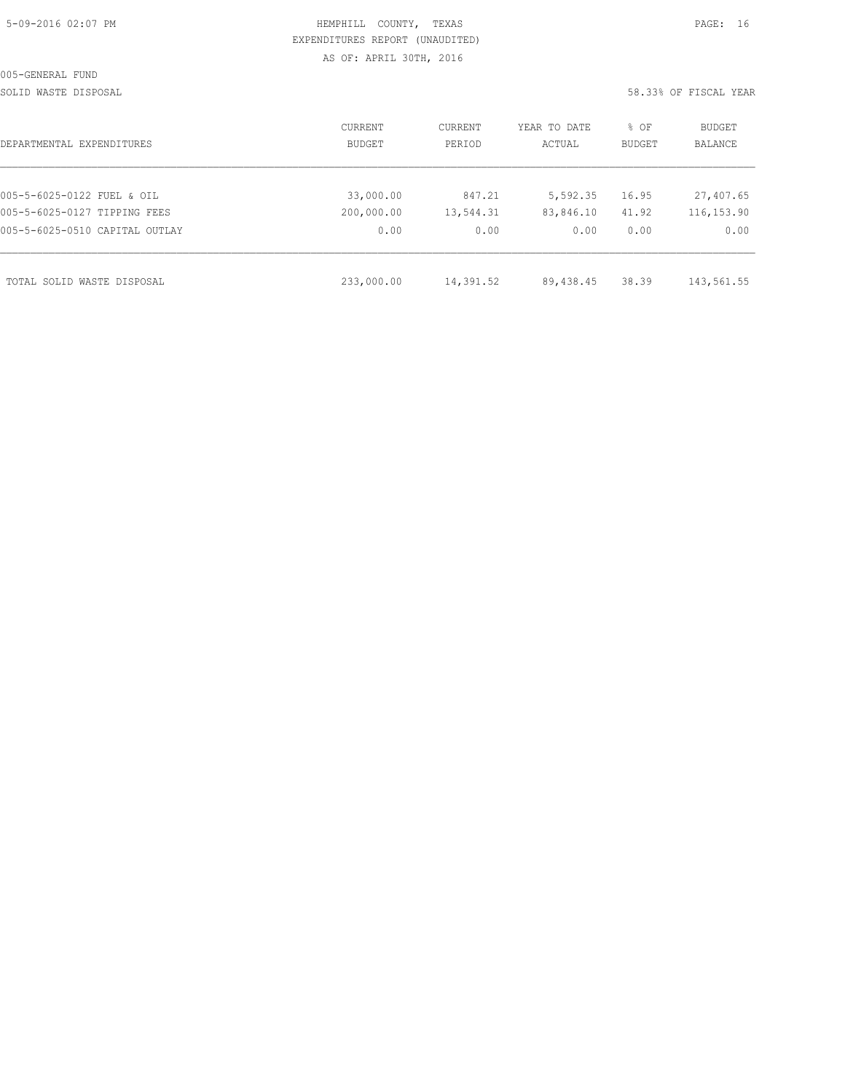| 5-09-2016 02:07 PM |  |
|--------------------|--|
|                    |  |

# HEMPHILL COUNTY, TEXAS **Example 10** PAGE: 16 EXPENDITURES REPORT (UNAUDITED) AS OF: APRIL 30TH, 2016

SOLID WASTE DISPOSAL 58.33% OF FISCAL YEAR

| DEPARTMENTAL EXPENDITURES      | CURRENT<br>BUDGET | CURRENT<br>PERIOD | YEAR TO DATE<br>ACTUAL | % OF<br>BUDGET | BUDGET<br><b>BALANCE</b> |
|--------------------------------|-------------------|-------------------|------------------------|----------------|--------------------------|
|                                |                   |                   |                        |                |                          |
| 005-5-6025-0122 FUEL & OIL     | 33,000.00         | 847.21            | 5,592.35               | 16.95          | 27,407.65                |
| 005-5-6025-0127 TIPPING FEES   | 200,000.00        | 13,544.31         | 83,846.10              | 41.92          | 116,153.90               |
| 005-5-6025-0510 CAPITAL OUTLAY | 0.00              | 0.00              | 0.00                   | 0.00           | 0.00                     |
| TOTAL SOLID WASTE DISPOSAL     | 233,000.00        | 14,391.52         | 89,438.45              | 38.39          | 143,561.55               |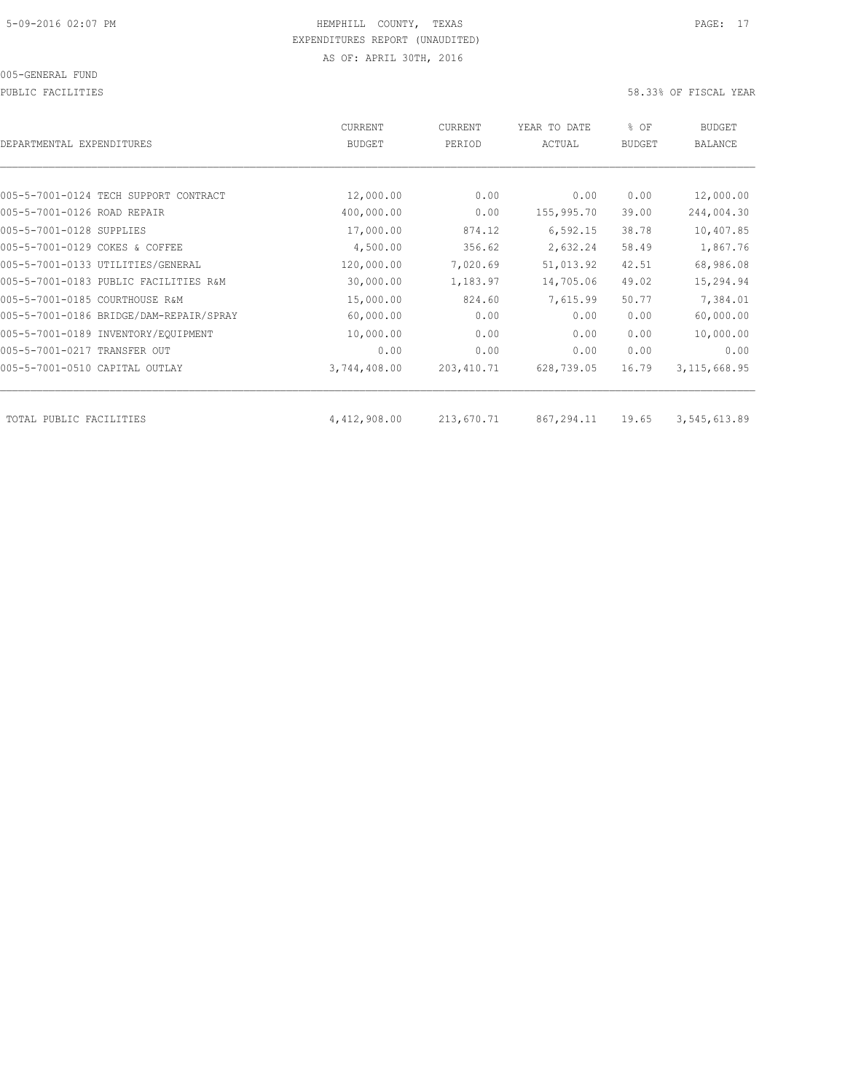PUBLIC FACILITIES 58.33% OF FISCAL YEAR

| DEPARTMENTAL EXPENDITURES               | CURRENT<br><b>BUDGET</b> | CURRENT<br>PERIOD | YEAR TO DATE<br>ACTUAL | % OF<br><b>BUDGET</b> | <b>BUDGET</b><br><b>BALANCE</b> |
|-----------------------------------------|--------------------------|-------------------|------------------------|-----------------------|---------------------------------|
|                                         |                          |                   |                        |                       |                                 |
| 005-5-7001-0124 TECH SUPPORT CONTRACT   | 12,000.00                | 0.00              | 0.00                   | 0.00                  | 12,000.00                       |
| 005-5-7001-0126 ROAD REPAIR             | 400,000.00               | 0.00              | 155,995.70             | 39.00                 | 244,004.30                      |
| 005-5-7001-0128 SUPPLIES                | 17,000.00                | 874.12            | 6, 592.15              | 38.78                 | 10,407.85                       |
| 005-5-7001-0129 COKES & COFFEE          | 4,500.00                 | 356.62            | 2,632.24               | 58.49                 | 1,867.76                        |
| 005-5-7001-0133 UTILITIES/GENERAL       | 120,000.00               | 7,020.69          | 51,013.92              | 42.51                 | 68,986.08                       |
| 005-5-7001-0183 PUBLIC FACILITIES R&M   | 30,000.00                | 1,183.97          | 14,705.06              | 49.02                 | 15,294.94                       |
| 005-5-7001-0185 COURTHOUSE R&M          | 15,000.00                | 824.60            | 7,615.99               | 50.77                 | 7,384.01                        |
| 005-5-7001-0186 BRIDGE/DAM-REPAIR/SPRAY | 60,000.00                | 0.00              | 0.00                   | 0.00                  | 60,000.00                       |
| 005-5-7001-0189 INVENTORY/EQUIPMENT     | 10,000.00                | 0.00              | 0.00                   | 0.00                  | 10,000.00                       |
| 005-5-7001-0217 TRANSFER OUT            | 0.00                     | 0.00              | 0.00                   | 0.00                  | 0.00                            |
| 005-5-7001-0510 CAPITAL OUTLAY          | 3,744,408.00             | 203, 410.71       | 628,739.05             | 16.79                 | 3, 115, 668.95                  |
| TOTAL PUBLIC FACILITIES                 | 4,412,908.00             | 213,670.71        | 867,294.11             | 19.65                 | 3,545,613.89                    |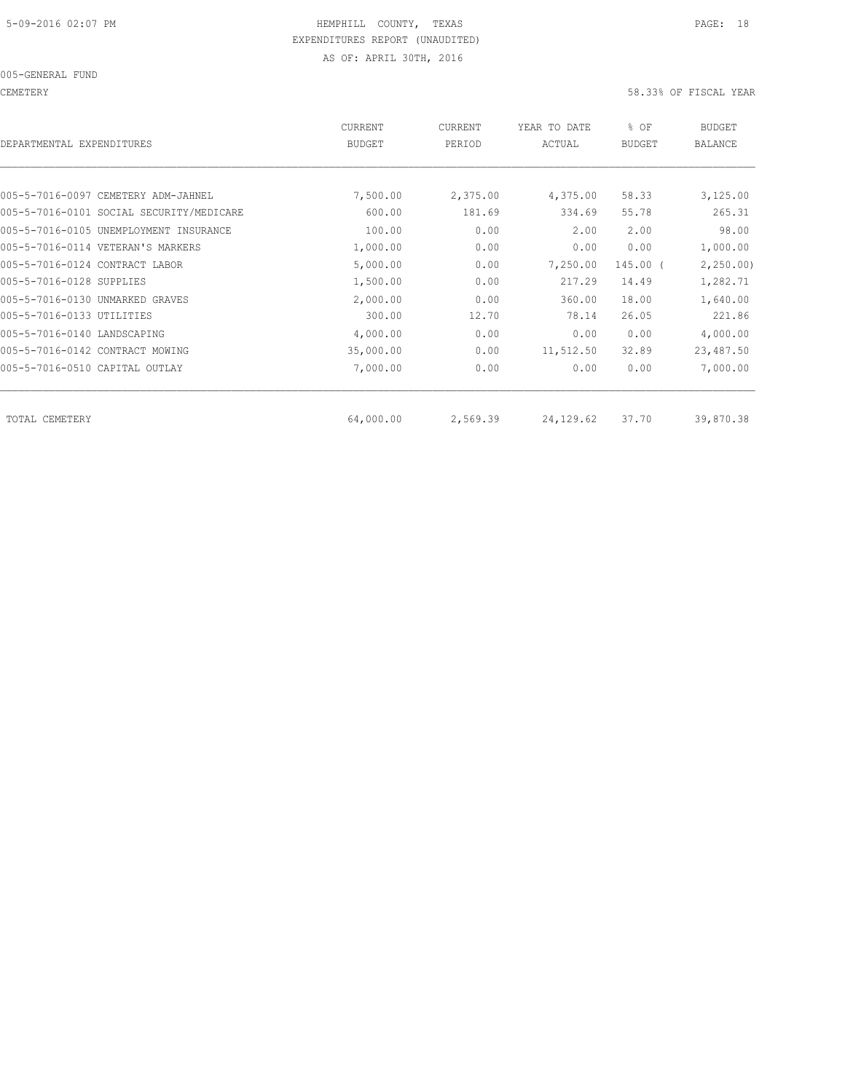CEMETERY 58.33% OF FISCAL YEAR

| DEPARTMENTAL EXPENDITURES                | <b>CURRENT</b><br><b>BUDGET</b> | CURRENT<br>PERIOD | YEAR TO DATE<br>ACTUAL | % OF<br><b>BUDGET</b> | <b>BUDGET</b><br>BALANCE |
|------------------------------------------|---------------------------------|-------------------|------------------------|-----------------------|--------------------------|
|                                          |                                 |                   |                        |                       |                          |
| 005-5-7016-0097 CEMETERY ADM-JAHNEL      | 7,500.00                        | 2,375.00          | 4,375.00               | 58.33                 | 3,125.00                 |
| 005-5-7016-0101 SOCIAL SECURITY/MEDICARE | 600.00                          | 181.69            | 334.69                 | 55.78                 | 265.31                   |
| 005-5-7016-0105 UNEMPLOYMENT INSURANCE   | 100.00                          | 0.00              | 2.00                   | 2.00                  | 98.00                    |
| 005-5-7016-0114 VETERAN'S MARKERS        | 1,000.00                        | 0.00              | 0.00                   | 0.00                  | 1,000.00                 |
| 005-5-7016-0124 CONTRACT LABOR           | 5,000.00                        | 0.00              | 7,250.00               | $145.00$ (            | 2,250.00                 |
| 005-5-7016-0128 SUPPLIES                 | 1,500.00                        | 0.00              | 217.29                 | 14.49                 | 1,282.71                 |
| 005-5-7016-0130 UNMARKED GRAVES          | 2,000.00                        | 0.00              | 360.00                 | 18.00                 | 1,640.00                 |
| 005-5-7016-0133 UTILITIES                | 300.00                          | 12.70             | 78.14                  | 26.05                 | 221.86                   |
| 005-5-7016-0140 LANDSCAPING              | 4,000.00                        | 0.00              | 0.00                   | 0.00                  | 4,000.00                 |
| 005-5-7016-0142 CONTRACT MOWING          | 35,000.00                       | 0.00              | 11,512.50              | 32.89                 | 23,487.50                |
| 005-5-7016-0510 CAPITAL OUTLAY           | 7,000.00                        | 0.00              | 0.00                   | 0.00                  | 7,000.00                 |
| TOTAL CEMETERY                           | 64,000.00                       | 2,569.39          | 24,129.62              | 37.70                 | 39,870.38                |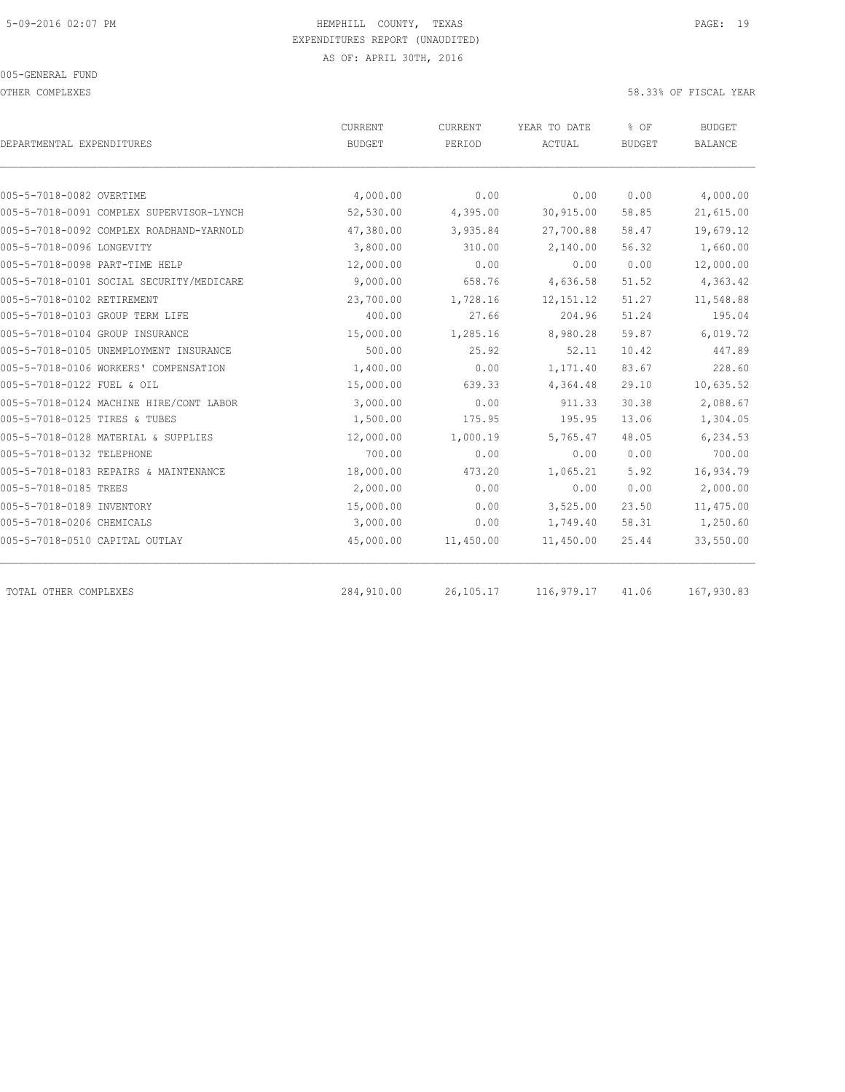OTHER COMPLEXES 58.33% OF FISCAL YEAR

|                                          | CURRENT       | CURRENT   | YEAR TO DATE | % OF                                                                                                                                                                                                  | <b>BUDGET</b> |
|------------------------------------------|---------------|-----------|--------------|-------------------------------------------------------------------------------------------------------------------------------------------------------------------------------------------------------|---------------|
| DEPARTMENTAL EXPENDITURES                | <b>BUDGET</b> | PERIOD    | ACTUAL       | <b>BUDGET</b><br>0.00<br>58.85<br>58.47<br>56.32<br>0.00<br>51.52<br>51.27<br>51.24<br>59.87<br>10.42<br>83.67<br>29.10<br>30.38<br>13.06<br>48.05<br>0.00<br>5.92<br>0.00<br>23.50<br>58.31<br>25.44 | BALANCE       |
|                                          |               |           |              |                                                                                                                                                                                                       |               |
| 005-5-7018-0082 OVERTIME                 | 4,000.00      | 0.00      | 0.00         |                                                                                                                                                                                                       | 4,000.00      |
| 005-5-7018-0091 COMPLEX SUPERVISOR-LYNCH | 52,530.00     | 4,395.00  | 30,915.00    |                                                                                                                                                                                                       | 21,615.00     |
| 005-5-7018-0092 COMPLEX ROADHAND-YARNOLD | 47,380.00     | 3,935.84  | 27,700.88    |                                                                                                                                                                                                       | 19,679.12     |
| 005-5-7018-0096 LONGEVITY                | 3,800.00      | 310.00    | 2,140.00     |                                                                                                                                                                                                       | 1,660.00      |
| 005-5-7018-0098 PART-TIME HELP           | 12,000.00     | 0.00      | 0.00         |                                                                                                                                                                                                       | 12,000.00     |
| 005-5-7018-0101 SOCIAL SECURITY/MEDICARE | 9,000.00      | 658.76    | 4,636.58     |                                                                                                                                                                                                       | 4,363.42      |
| 005-5-7018-0102 RETIREMENT               | 23,700.00     | 1,728.16  | 12, 151.12   |                                                                                                                                                                                                       | 11,548.88     |
| 005-5-7018-0103 GROUP TERM LIFE          | 400.00        | 27.66     | 204.96       |                                                                                                                                                                                                       | 195.04        |
| 005-5-7018-0104 GROUP INSURANCE          | 15,000.00     | 1,285.16  | 8,980.28     |                                                                                                                                                                                                       | 6,019.72      |
| 005-5-7018-0105 UNEMPLOYMENT INSURANCE   | 500.00        | 25.92     | 52.11        |                                                                                                                                                                                                       | 447.89        |
| 005-5-7018-0106 WORKERS' COMPENSATION    | 1,400.00      | 0.00      | 1,171.40     |                                                                                                                                                                                                       | 228.60        |
| 005-5-7018-0122 FUEL & OIL               | 15,000.00     | 639.33    | 4,364.48     |                                                                                                                                                                                                       | 10,635.52     |
| 005-5-7018-0124 MACHINE HIRE/CONT LABOR  | 3,000.00      | 0.00      | 911.33       |                                                                                                                                                                                                       | 2,088.67      |
| 005-5-7018-0125 TIRES & TUBES            | 1,500.00      | 175.95    | 195.95       |                                                                                                                                                                                                       | 1,304.05      |
| 005-5-7018-0128 MATERIAL & SUPPLIES      | 12,000.00     | 1,000.19  | 5,765.47     |                                                                                                                                                                                                       | 6,234.53      |
| 005-5-7018-0132 TELEPHONE                | 700.00        | 0.00      | 0.00         |                                                                                                                                                                                                       | 700.00        |
| 005-5-7018-0183 REPAIRS & MAINTENANCE    | 18,000.00     | 473.20    | 1,065.21     |                                                                                                                                                                                                       | 16,934.79     |
| 005-5-7018-0185 TREES                    | 2,000.00      | 0.00      | 0.00         |                                                                                                                                                                                                       | 2,000.00      |
| 005-5-7018-0189 INVENTORY                | 15,000.00     | 0.00      | 3,525.00     |                                                                                                                                                                                                       | 11,475.00     |
| 005-5-7018-0206 CHEMICALS                | 3,000.00      | 0.00      | 1,749.40     |                                                                                                                                                                                                       | 1,250.60      |
| 005-5-7018-0510 CAPITAL OUTLAY           | 45,000.00     | 11,450.00 | 11,450.00    |                                                                                                                                                                                                       | 33,550.00     |
| TOTAL OTHER COMPLEXES                    | 284,910.00    | 26,105.17 | 116,979.17   | 41.06                                                                                                                                                                                                 | 167,930.83    |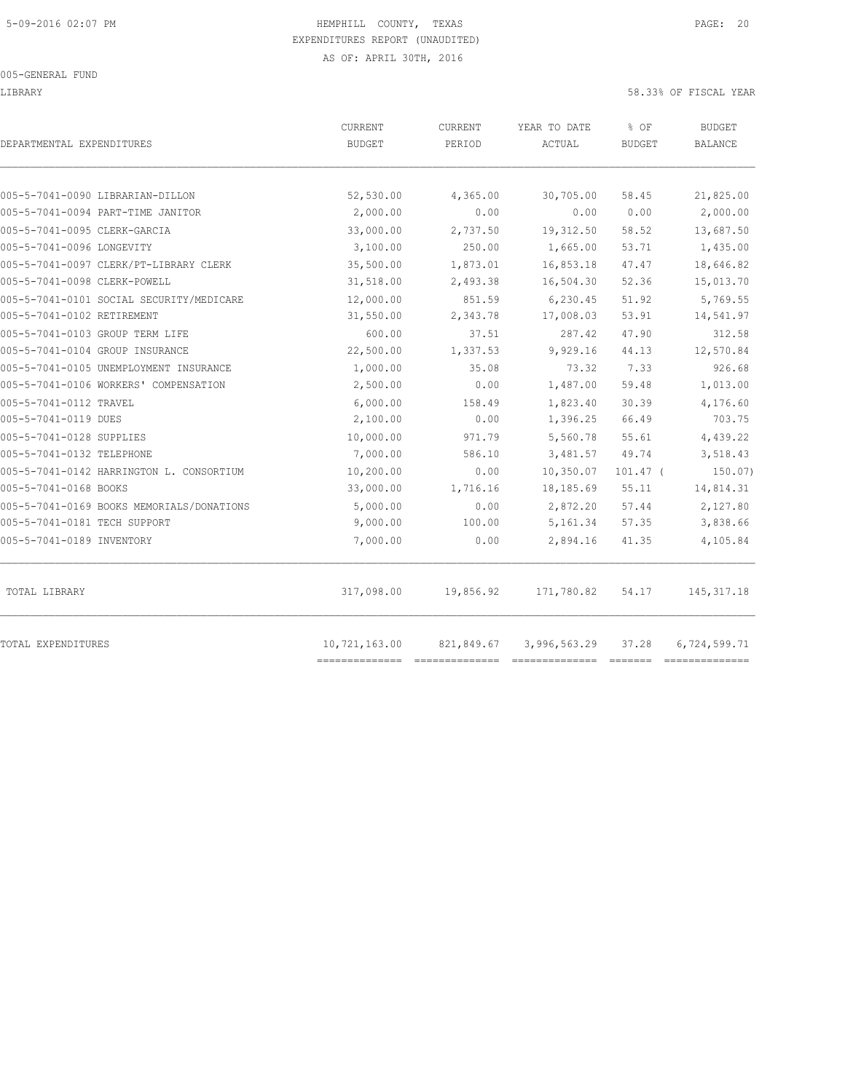LIBRARY 58.33% OF FISCAL YEAR

| DEPARTMENTAL EXPENDITURES                 | <b>CURRENT</b><br><b>BUDGET</b> | <b>CURRENT</b><br>PERIOD | YEAR TO DATE<br>ACTUAL | % OF<br><b>BUDGET</b> | <b>BUDGET</b><br>BALANCE |
|-------------------------------------------|---------------------------------|--------------------------|------------------------|-----------------------|--------------------------|
| 005-5-7041-0090 LIBRARIAN-DILLON          | 52,530.00                       | 4,365.00                 | 30,705.00              | 58.45                 | 21,825.00                |
| 005-5-7041-0094 PART-TIME JANITOR         | 2,000.00                        | 0.00                     | 0.00                   | 0.00                  | 2,000.00                 |
| 005-5-7041-0095 CLERK-GARCIA              | 33,000.00                       | 2,737.50                 | 19, 312.50             | 58.52                 | 13,687.50                |
| 005-5-7041-0096 LONGEVITY                 | 3,100.00                        | 250.00                   | 1,665.00               | 53.71                 | 1,435.00                 |
| 005-5-7041-0097 CLERK/PT-LIBRARY CLERK    | 35,500.00                       | 1,873.01                 | 16,853.18              | 47.47                 | 18,646.82                |
| 005-5-7041-0098 CLERK-POWELL              | 31,518.00                       | 2,493.38                 | 16,504.30              | 52.36                 | 15,013.70                |
| 005-5-7041-0101 SOCIAL SECURITY/MEDICARE  | 12,000.00                       | 851.59                   | 6, 230.45              | 51.92                 | 5,769.55                 |
| 005-5-7041-0102 RETIREMENT                | 31,550.00                       | 2,343.78                 | 17,008.03              | 53.91                 | 14,541.97                |
| 005-5-7041-0103 GROUP TERM LIFE           | 600.00                          | 37.51                    | 287.42                 | 47.90                 | 312.58                   |
| 005-5-7041-0104 GROUP INSURANCE           | 22,500.00                       | 1,337.53                 | 9,929.16               | 44.13                 | 12,570.84                |
| 005-5-7041-0105 UNEMPLOYMENT INSURANCE    | 1,000.00                        | 35.08                    | 73.32                  | 7.33                  | 926.68                   |
| 005-5-7041-0106 WORKERS' COMPENSATION     | 2,500.00                        | 0.00                     | 1,487.00               | 59.48                 | 1,013.00                 |
| 005-5-7041-0112 TRAVEL                    | 6,000.00                        | 158.49                   | 1,823.40               | 30.39                 | 4,176.60                 |
| 005-5-7041-0119 DUES                      | 2,100.00                        | 0.00                     | 1,396.25               | 66.49                 | 703.75                   |
| 005-5-7041-0128 SUPPLIES                  | 10,000.00                       | 971.79                   | 5,560.78               | 55.61                 | 4,439.22                 |
| 005-5-7041-0132 TELEPHONE                 | 7,000.00                        | 586.10                   | 3,481.57               | 49.74                 | 3,518.43                 |
| 005-5-7041-0142 HARRINGTON L. CONSORTIUM  | 10,200.00                       | 0.00                     | 10,350.07              | $101.47$ (            | 150.07)                  |
| 005-5-7041-0168 BOOKS                     | 33,000.00                       | 1,716.16                 | 18,185.69              | 55.11                 | 14,814.31                |
| 005-5-7041-0169 BOOKS MEMORIALS/DONATIONS | 5,000.00                        | 0.00                     | 2,872.20               | 57.44                 | 2,127.80                 |
| 005-5-7041-0181 TECH SUPPORT              | 9,000.00                        | 100.00                   | 5,161.34               | 57.35                 | 3,838.66                 |
| 005-5-7041-0189 INVENTORY                 | 7,000.00                        | 0.00                     | 2,894.16               | 41.35                 | 4,105.84                 |
| TOTAL LIBRARY                             | 317,098.00                      | 19,856.92                | 171,780.82             | 54.17                 | 145, 317.18              |
| TOTAL EXPENDITURES                        | 10,721,163.00                   | 821,849.67               | 3,996,563.29           | 37.28                 | 6,724,599.71             |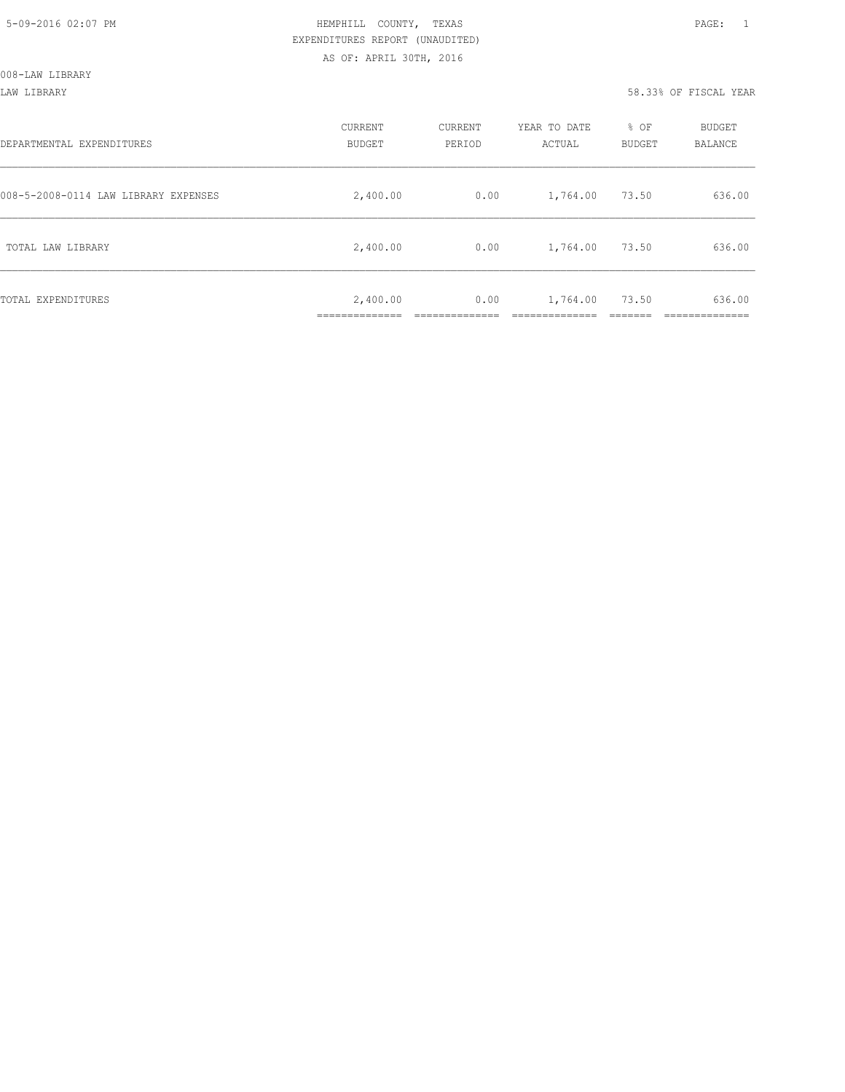008-LAW LIBRARY

LAW LIBRARY 58.33% OF FISCAL YEAR

| DEPARTMENTAL EXPENDITURES            | CURRENT<br><b>BUDGET</b> | CURRENT<br>PERIOD | YEAR TO DATE<br>ACTUAL | % OF<br><b>BUDGET</b> | BUDGET<br><b>BALANCE</b> |
|--------------------------------------|--------------------------|-------------------|------------------------|-----------------------|--------------------------|
| 008-5-2008-0114 LAW LIBRARY EXPENSES | 2,400.00                 | 0.00              | 1,764.00               | 73.50                 | 636.00                   |
| TOTAL LAW LIBRARY                    | 2,400.00                 | 0.00              | 1,764.00               | 73.50                 | 636.00                   |
| TOTAL EXPENDITURES                   | 2,400.00                 | 0.00              | 1,764.00               | 73.50                 | 636.00                   |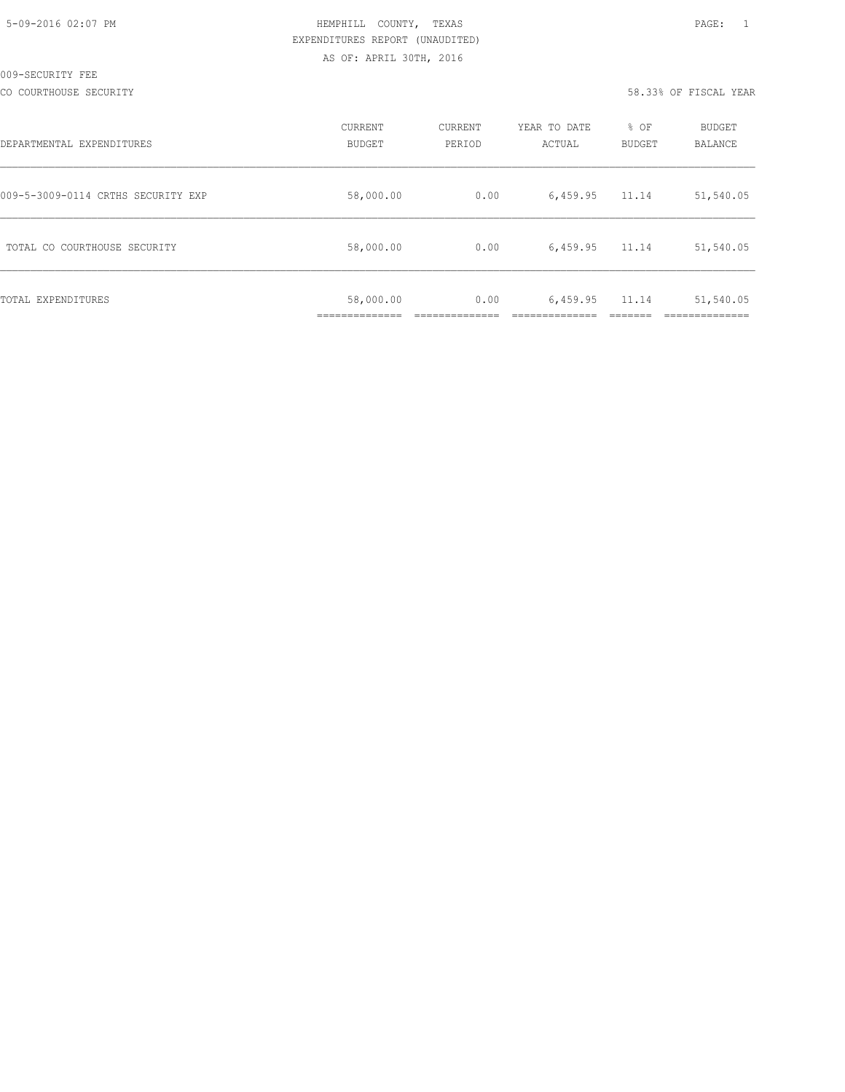CO COURTHOUSE SECURITY 58.33% OF FISCAL YEAR

| DEPARTMENTAL EXPENDITURES          | CURRENT<br>BUDGET | CURRENT<br>PERIOD | YEAR TO DATE<br>ACTUAL | % OF<br>BUDGET | BUDGET<br><b>BALANCE</b> |
|------------------------------------|-------------------|-------------------|------------------------|----------------|--------------------------|
| 009-5-3009-0114 CRTHS SECURITY EXP | 58,000.00         | 0.00              | 6,459.95               | 11.14          | 51,540.05                |
| TOTAL CO COURTHOUSE SECURITY       | 58,000.00         | 0.00              | 6,459.95               | 11.14          | 51,540.05                |
| TOTAL EXPENDITURES                 | 58,000.00         | 0.00              | 6,459.95               | 11.14          | 51,540.05                |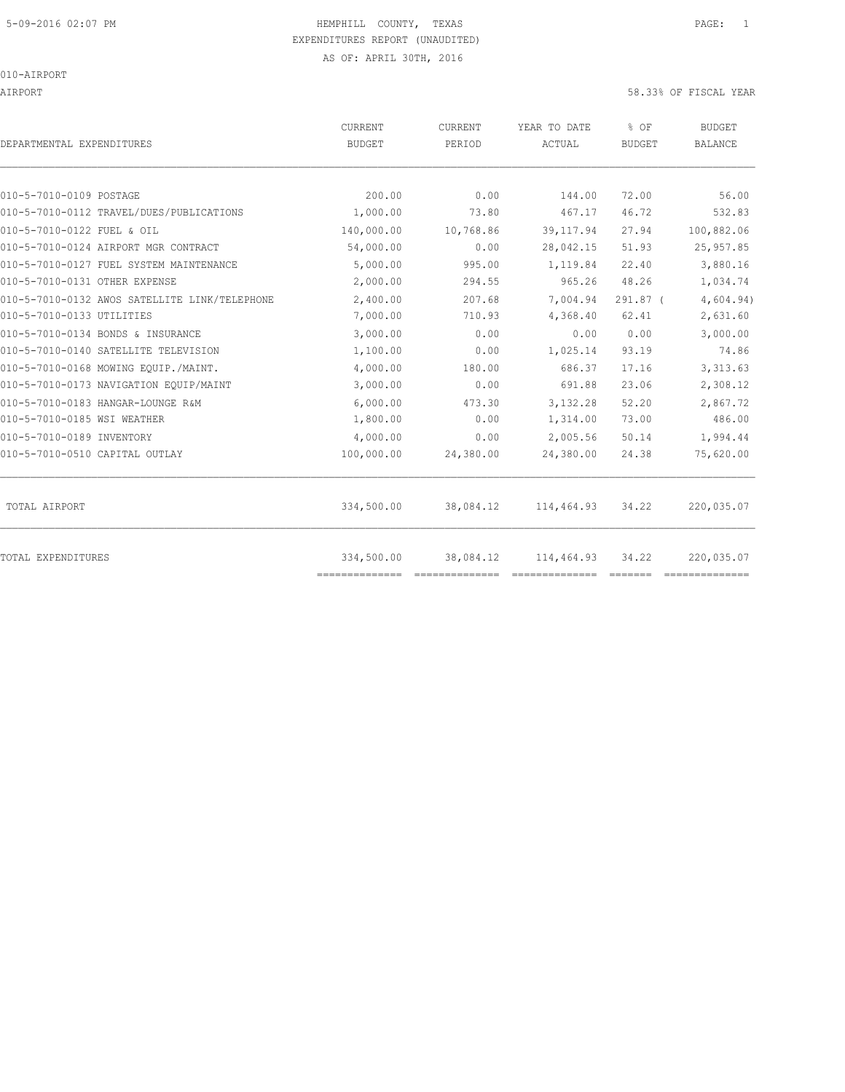AIRPORT 58.33% OF FISCAL YEAR

| DEPARTMENTAL EXPENDITURES                     | <b>CURRENT</b><br><b>BUDGET</b> | CURRENT<br>PERIOD | YEAR TO DATE<br>ACTUAL | % OF<br><b>BUDGET</b> | <b>BUDGET</b><br><b>BALANCE</b> |
|-----------------------------------------------|---------------------------------|-------------------|------------------------|-----------------------|---------------------------------|
|                                               |                                 |                   |                        |                       |                                 |
| 010-5-7010-0109 POSTAGE                       | 200.00                          | 0.00              | 144.00                 | 72.00                 | 56.00                           |
| 010-5-7010-0112 TRAVEL/DUES/PUBLICATIONS      | 1,000.00                        | 73.80             | 467.17                 | 46.72                 | 532.83                          |
| 010-5-7010-0122 FUEL & OIL                    | 140,000.00                      | 10,768.86         | 39, 117.94             | 27.94                 | 100,882.06                      |
| 010-5-7010-0124 AIRPORT MGR CONTRACT          | 54,000.00                       | 0.00              | 28,042.15              | 51.93                 | 25,957.85                       |
| 010-5-7010-0127 FUEL SYSTEM MAINTENANCE       | 5,000.00                        | 995.00            | 1,119.84               | 22.40                 | 3,880.16                        |
| 010-5-7010-0131 OTHER EXPENSE                 | 2,000.00                        | 294.55            | 965.26                 | 48.26                 | 1,034.74                        |
| 010-5-7010-0132 AWOS SATELLITE LINK/TELEPHONE | 2,400.00                        | 207.68            | 7,004.94               | 291.87 (              | 4,604.94)                       |
| 010-5-7010-0133 UTILITIES                     | 7,000.00                        | 710.93            | 4,368.40               | 62.41                 | 2,631.60                        |
| 010-5-7010-0134 BONDS & INSURANCE             | 3,000.00                        | 0.00              | 0.00                   | 0.00                  | 3,000.00                        |
| 010-5-7010-0140 SATELLITE TELEVISION          | 1,100.00                        | 0.00              | 1,025.14               | 93.19                 | 74.86                           |
| 010-5-7010-0168 MOWING EQUIP./MAINT.          | 4,000.00                        | 180.00            | 686.37                 | 17.16                 | 3,313.63                        |
| 010-5-7010-0173 NAVIGATION EQUIP/MAINT        | 3,000.00                        | 0.00              | 691.88                 | 23.06                 | 2,308.12                        |
| 010-5-7010-0183 HANGAR-LOUNGE R&M             | 6,000.00                        | 473.30            | 3,132.28               | 52.20                 | 2,867.72                        |
| 010-5-7010-0185 WSI WEATHER                   | 1,800.00                        | 0.00              | 1,314.00               | 73.00                 | 486.00                          |
| 010-5-7010-0189 INVENTORY                     | 4,000.00                        | 0.00              | 2,005.56               | 50.14                 | 1,994.44                        |
| 010-5-7010-0510 CAPITAL OUTLAY                | 100,000.00                      | 24,380.00         | 24,380.00              | 24.38                 | 75,620.00                       |
| TOTAL AIRPORT                                 | 334,500.00                      | 38,084.12         | 114,464.93             | 34.22                 | 220,035.07                      |
| TOTAL EXPENDITURES                            | 334,500.00<br>==============    | 38,084.12         | 114,464.93             | 34.22                 | 220,035.07                      |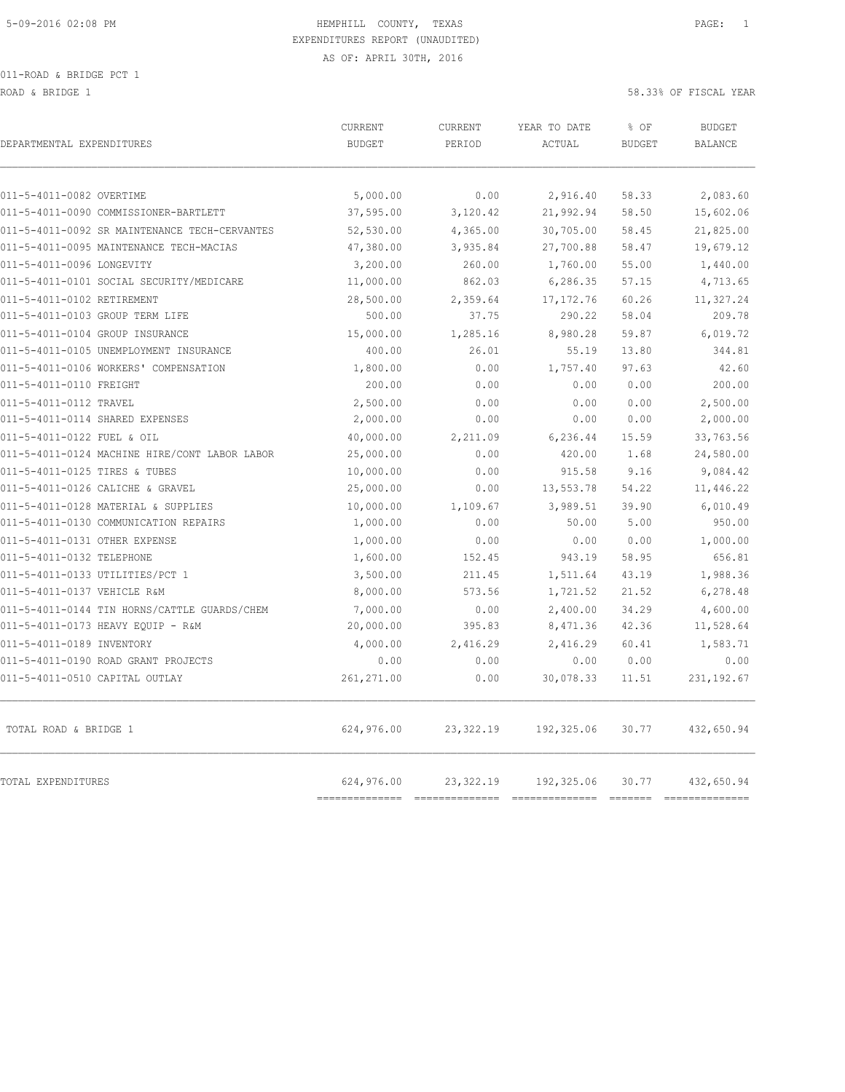ROAD & BRIDGE 1 58.33% OF FISCAL YEAR

| DEPARTMENTAL EXPENDITURES                     | CURRENT<br><b>BUDGET</b>  | CURRENT<br>PERIOD | YEAR TO DATE<br>ACTUAL  | % OF<br><b>BUDGET</b> | <b>BUDGET</b><br><b>BALANCE</b> |
|-----------------------------------------------|---------------------------|-------------------|-------------------------|-----------------------|---------------------------------|
| 011-5-4011-0082 OVERTIME                      | 5,000.00                  | 0.00              | 2,916.40                | 58.33                 | 2,083.60                        |
| 011-5-4011-0090 COMMISSIONER-BARTLETT         | 37,595.00                 | 3,120.42          | 21,992.94               | 58.50                 | 15,602.06                       |
| 011-5-4011-0092 SR MAINTENANCE TECH-CERVANTES | 52,530.00                 | 4,365.00          | 30,705.00               | 58.45                 | 21,825.00                       |
| 011-5-4011-0095 MAINTENANCE TECH-MACIAS       | 47,380.00                 | 3,935.84          | 27,700.88               | 58.47                 | 19,679.12                       |
| 011-5-4011-0096 LONGEVITY                     | 3,200.00                  | 260.00            | 1,760.00                | 55.00                 | 1,440.00                        |
| 011-5-4011-0101 SOCIAL SECURITY/MEDICARE      | 11,000.00                 | 862.03            | 6,286.35                | 57.15                 | 4,713.65                        |
| 011-5-4011-0102 RETIREMENT                    | 28,500.00                 | 2,359.64          | 17, 172.76              | 60.26                 | 11,327.24                       |
| 011-5-4011-0103 GROUP TERM LIFE               | 500.00                    | 37.75             | 290.22                  | 58.04                 | 209.78                          |
| 011-5-4011-0104 GROUP INSURANCE               | 15,000.00                 | 1,285.16          | 8,980.28                | 59.87                 | 6,019.72                        |
| 011-5-4011-0105 UNEMPLOYMENT INSURANCE        | 400.00                    | 26.01             | 55.19                   | 13.80                 | 344.81                          |
| 011-5-4011-0106 WORKERS' COMPENSATION         | 1,800.00                  | 0.00              | 1,757.40                | 97.63                 | 42.60                           |
| 011-5-4011-0110 FREIGHT                       | 200.00                    | 0.00              | 0.00                    | 0.00                  | 200.00                          |
| 011-5-4011-0112 TRAVEL                        | 2,500.00                  | 0.00              | 0.00                    | 0.00                  | 2,500.00                        |
| 011-5-4011-0114 SHARED EXPENSES               | 2,000.00                  | 0.00              | 0.00                    | 0.00                  | 2,000.00                        |
| 011-5-4011-0122 FUEL & OIL                    | 40,000.00                 | 2,211.09          | 6,236.44                | 15.59                 | 33,763.56                       |
| 011-5-4011-0124 MACHINE HIRE/CONT LABOR LABOR | 25,000.00                 | 0.00              | 420.00                  | 1.68                  | 24,580.00                       |
| 011-5-4011-0125 TIRES & TUBES                 | 10,000.00                 | 0.00              | 915.58                  | 9.16                  | 9,084.42                        |
| 011-5-4011-0126 CALICHE & GRAVEL              | 25,000.00                 | 0.00              | 13,553.78               | 54.22                 | 11,446.22                       |
| 011-5-4011-0128 MATERIAL & SUPPLIES           | 10,000.00                 | 1,109.67          | 3,989.51                | 39.90                 | 6,010.49                        |
| 011-5-4011-0130 COMMUNICATION REPAIRS         | 1,000.00                  | 0.00              | 50.00                   | 5.00                  | 950.00                          |
| 011-5-4011-0131 OTHER EXPENSE                 | 1,000.00                  | 0.00              | 0.00                    | 0.00                  | 1,000.00                        |
| 011-5-4011-0132 TELEPHONE                     | 1,600.00                  | 152.45            | 943.19                  | 58.95                 | 656.81                          |
| 011-5-4011-0133 UTILITIES/PCT 1               | 3,500.00                  | 211.45            | 1,511.64                | 43.19                 | 1,988.36                        |
| 011-5-4011-0137 VEHICLE R&M                   | 8,000.00                  | 573.56            | 1,721.52                | 21.52                 | 6,278.48                        |
| 011-5-4011-0144 TIN HORNS/CATTLE GUARDS/CHEM  | 7,000.00                  | 0.00              | 2,400.00                | 34.29                 | 4,600.00                        |
| 011-5-4011-0173 HEAVY EQUIP - R&M             | 20,000.00                 | 395.83            | 8,471.36                | 42.36                 | 11,528.64                       |
| 011-5-4011-0189 INVENTORY                     | 4,000.00                  | 2,416.29          | 2,416.29                | 60.41                 | 1,583.71                        |
| 011-5-4011-0190 ROAD GRANT PROJECTS           | 0.00                      | 0.00              | 0.00                    | 0.00                  | 0.00                            |
| 011-5-4011-0510 CAPITAL OUTLAY                | 261, 271.00               | 0.00              | 30,078.33               | 11.51                 | 231, 192.67                     |
| TOTAL ROAD & BRIDGE 1                         | 624,976.00                | 23, 322.19        | 192,325.06              | 30.77                 | 432,650.94                      |
| <b>TOTAL EXPENDITURES</b>                     | 624,976.00<br>----------- | 23,322.19         | 192,325.06<br>========= | 30.77                 | 432,650.94<br>==========        |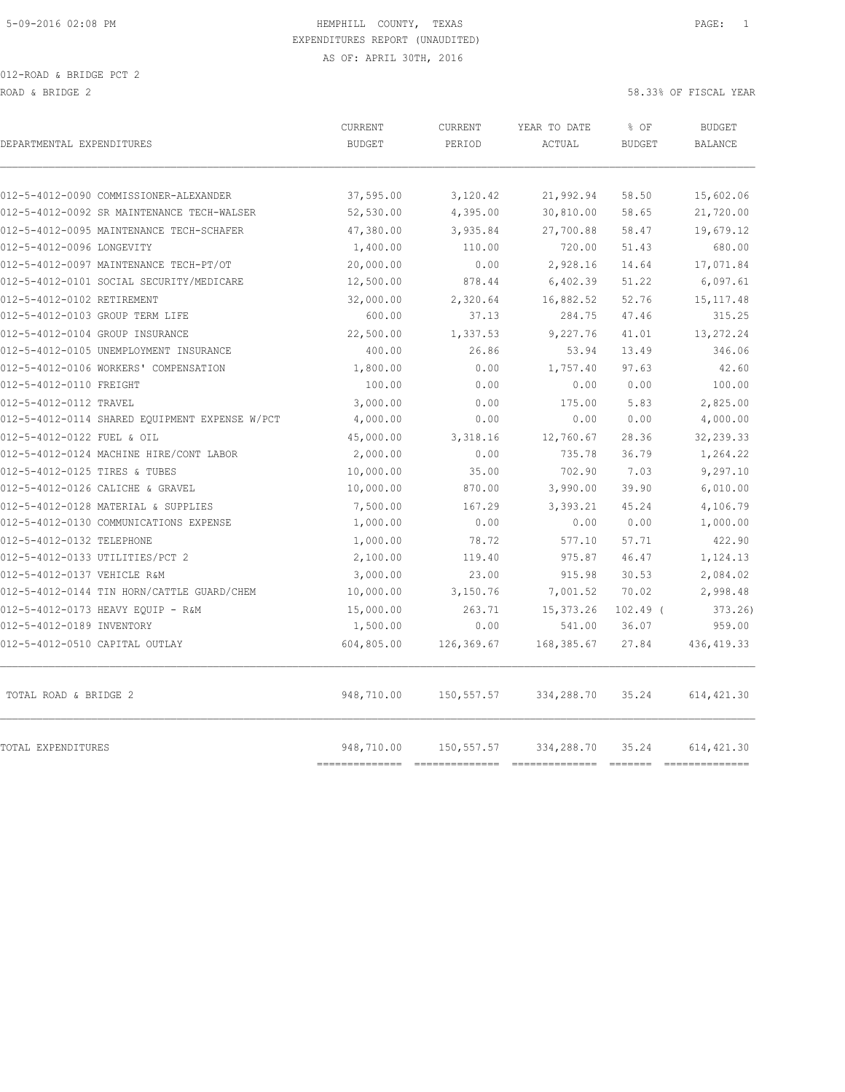| DEPARTMENTAL EXPENDITURES                      | <b>CURRENT</b><br><b>BUDGET</b> | CURRENT<br>PERIOD | YEAR TO DATE<br>ACTUAL | % OF<br><b>BUDGET</b> | <b>BUDGET</b><br><b>BALANCE</b> |
|------------------------------------------------|---------------------------------|-------------------|------------------------|-----------------------|---------------------------------|
| 012-5-4012-0090 COMMISSIONER-ALEXANDER         | 37,595.00                       | 3,120.42          | 21,992.94              | 58.50                 | 15,602.06                       |
| 012-5-4012-0092 SR MAINTENANCE TECH-WALSER     | 52,530.00                       | 4,395.00          | 30,810.00              | 58.65                 | 21,720.00                       |
| 012-5-4012-0095 MAINTENANCE TECH-SCHAFER       | 47,380.00                       | 3,935.84          | 27,700.88              | 58.47                 | 19,679.12                       |
| 012-5-4012-0096 LONGEVITY                      | 1,400.00                        | 110.00            | 720.00                 | 51.43                 | 680.00                          |
| 012-5-4012-0097 MAINTENANCE TECH-PT/OT         | 20,000.00                       | 0.00              | 2,928.16               | 14.64                 | 17,071.84                       |
| 012-5-4012-0101 SOCIAL SECURITY/MEDICARE       | 12,500.00                       | 878.44            | 6,402.39               | 51.22                 | 6,097.61                        |
| 012-5-4012-0102 RETIREMENT                     | 32,000.00                       | 2,320.64          | 16,882.52              | 52.76                 | 15, 117.48                      |
| 012-5-4012-0103 GROUP TERM LIFE                | 600.00                          | 37.13             | 284.75                 | 47.46                 | 315.25                          |
| 012-5-4012-0104 GROUP INSURANCE                | 22,500.00                       | 1,337.53          | 9,227.76               | 41.01                 | 13,272.24                       |
| 012-5-4012-0105 UNEMPLOYMENT INSURANCE         | 400.00                          | 26.86             | 53.94                  | 13.49                 | 346.06                          |
| 012-5-4012-0106 WORKERS' COMPENSATION          | 1,800.00                        | 0.00              | 1,757.40               | 97.63                 | 42.60                           |
| 012-5-4012-0110 FREIGHT                        | 100.00                          | 0.00              | 0.00                   | 0.00                  | 100.00                          |
| 012-5-4012-0112 TRAVEL                         | 3,000.00                        | 0.00              | 175.00                 | 5.83                  | 2,825.00                        |
| 012-5-4012-0114 SHARED EOUIPMENT EXPENSE W/PCT | 4,000.00                        | 0.00              | 0.00                   | 0.00                  | 4,000.00                        |
| 012-5-4012-0122 FUEL & OIL                     | 45,000.00                       | 3,318.16          | 12,760.67              | 28.36                 | 32, 239.33                      |
| 012-5-4012-0124 MACHINE HIRE/CONT LABOR        | 2,000.00                        | 0.00              | 735.78                 | 36.79                 | 1,264.22                        |
| 012-5-4012-0125 TIRES & TUBES                  | 10,000.00                       | 35.00             | 702.90                 | 7.03                  | 9,297.10                        |
| 012-5-4012-0126 CALICHE & GRAVEL               | 10,000.00                       | 870.00            | 3,990.00               | 39.90                 | 6,010.00                        |
| 012-5-4012-0128 MATERIAL & SUPPLIES            | 7,500.00                        | 167.29            | 3,393.21               | 45.24                 | 4,106.79                        |
| 012-5-4012-0130 COMMUNICATIONS EXPENSE         | 1,000.00                        | 0.00              | 0.00                   | 0.00                  | 1,000.00                        |
| 012-5-4012-0132 TELEPHONE                      | 1,000.00                        | 78.72             | 577.10                 | 57.71                 | 422.90                          |
| 012-5-4012-0133 UTILITIES/PCT 2                | 2,100.00                        | 119.40            | 975.87                 | 46.47                 | 1,124.13                        |
| 012-5-4012-0137 VEHICLE R&M                    | 3,000.00                        | 23.00             | 915.98                 | 30.53                 | 2,084.02                        |
| 012-5-4012-0144 TIN HORN/CATTLE GUARD/CHEM     | 10,000.00                       | 3,150.76          | 7,001.52               | 70.02                 | 2,998.48                        |
| 012-5-4012-0173 HEAVY EQUIP - R&M              | 15,000.00                       | 263.71            | 15, 373.26             | $102.49$ (            | 373.26                          |
| 012-5-4012-0189 INVENTORY                      | 1,500.00                        | 0.00              | 541.00                 | 36.07                 | 959.00                          |
| 012-5-4012-0510 CAPITAL OUTLAY                 | 604,805.00                      | 126,369.67        | 168,385.67             | 27.84                 | 436, 419.33                     |
| TOTAL ROAD & BRIDGE 2                          | 948,710.00                      | 150,557.57        | 334,288.70             | 35.24                 | 614, 421.30                     |
| TOTAL EXPENDITURES                             | 948,710.00<br>===========       | 150,557.57        | 334,288.70             | 35.24<br>--------     | 614, 421.30<br>-----------      |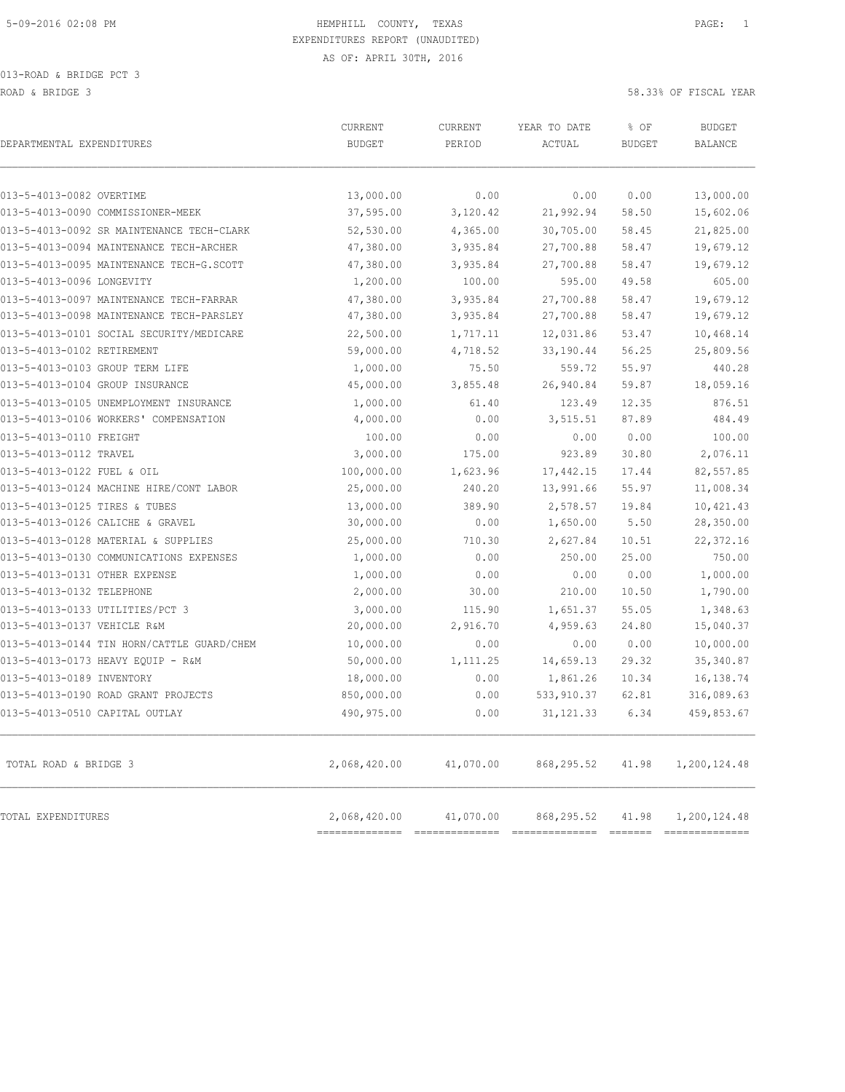| DEPARTMENTAL EXPENDITURES                  | CURRENT<br><b>BUDGET</b>       | CURRENT<br>PERIOD           | YEAR TO DATE<br>ACTUAL        | % OF<br><b>BUDGET</b> | <b>BUDGET</b><br>BALANCE        |
|--------------------------------------------|--------------------------------|-----------------------------|-------------------------------|-----------------------|---------------------------------|
| 013-5-4013-0082 OVERTIME                   | 13,000.00                      | 0.00                        | 0.00                          | 0.00                  | 13,000.00                       |
| 013-5-4013-0090 COMMISSIONER-MEEK          | 37,595.00                      | 3,120.42                    | 21,992.94                     | 58.50                 | 15,602.06                       |
| 013-5-4013-0092 SR MAINTENANCE TECH-CLARK  | 52,530.00                      | 4,365.00                    | 30,705.00                     | 58.45                 | 21,825.00                       |
| 013-5-4013-0094 MAINTENANCE TECH-ARCHER    | 47,380.00                      | 3,935.84                    | 27,700.88                     | 58.47                 | 19,679.12                       |
| 013-5-4013-0095 MAINTENANCE TECH-G.SCOTT   | 47,380.00                      | 3,935.84                    | 27,700.88                     | 58.47                 | 19,679.12                       |
| 013-5-4013-0096 LONGEVITY                  | 1,200.00                       | 100.00                      | 595.00                        | 49.58                 | 605.00                          |
| 013-5-4013-0097 MAINTENANCE TECH-FARRAR    | 47,380.00                      | 3,935.84                    | 27,700.88                     | 58.47                 | 19,679.12                       |
| 013-5-4013-0098 MAINTENANCE TECH-PARSLEY   | 47,380.00                      | 3,935.84                    | 27,700.88                     | 58.47                 | 19,679.12                       |
| 013-5-4013-0101 SOCIAL SECURITY/MEDICARE   | 22,500.00                      | 1,717.11                    | 12,031.86                     | 53.47                 | 10,468.14                       |
| 013-5-4013-0102 RETIREMENT                 | 59,000.00                      | 4,718.52                    | 33,190.44                     | 56.25                 | 25,809.56                       |
| 013-5-4013-0103 GROUP TERM LIFE            | 1,000.00                       | 75.50                       | 559.72                        | 55.97                 | 440.28                          |
| 013-5-4013-0104 GROUP INSURANCE            | 45,000.00                      | 3,855.48                    | 26,940.84                     | 59.87                 | 18,059.16                       |
| 013-5-4013-0105 UNEMPLOYMENT INSURANCE     | 1,000.00                       | 61.40                       | 123.49                        | 12.35                 | 876.51                          |
| 013-5-4013-0106 WORKERS' COMPENSATION      | 4,000.00                       | 0.00                        | 3,515.51                      | 87.89                 | 484.49                          |
| 013-5-4013-0110 FREIGHT                    | 100.00                         | 0.00                        | 0.00                          | 0.00                  | 100.00                          |
| 013-5-4013-0112 TRAVEL                     | 3,000.00                       | 175.00                      | 923.89                        | 30.80                 | 2,076.11                        |
| 013-5-4013-0122 FUEL & OIL                 | 100,000.00                     | 1,623.96                    | 17,442.15                     | 17.44                 | 82,557.85                       |
| 013-5-4013-0124 MACHINE HIRE/CONT LABOR    | 25,000.00                      | 240.20                      | 13,991.66                     | 55.97                 | 11,008.34                       |
| 013-5-4013-0125 TIRES & TUBES              | 13,000.00                      | 389.90                      | 2,578.57                      | 19.84                 | 10,421.43                       |
| 013-5-4013-0126 CALICHE & GRAVEL           | 30,000.00                      | 0.00                        | 1,650.00                      | 5.50                  | 28,350.00                       |
| 013-5-4013-0128 MATERIAL & SUPPLIES        | 25,000.00                      | 710.30                      | 2,627.84                      | 10.51                 | 22,372.16                       |
| 013-5-4013-0130 COMMUNICATIONS EXPENSES    | 1,000.00                       | 0.00                        | 250.00                        | 25.00                 | 750.00                          |
| 013-5-4013-0131 OTHER EXPENSE              | 1,000.00                       | 0.00                        | 0.00                          | 0.00                  | 1,000.00                        |
| 013-5-4013-0132 TELEPHONE                  | 2,000.00                       | 30.00                       | 210.00                        | 10.50                 | 1,790.00                        |
| 013-5-4013-0133 UTILITIES/PCT 3            | 3,000.00                       | 115.90                      | 1,651.37                      | 55.05                 | 1,348.63                        |
| 013-5-4013-0137 VEHICLE R&M                | 20,000.00                      | 2,916.70                    | 4,959.63                      | 24.80                 | 15,040.37                       |
| 013-5-4013-0144 TIN HORN/CATTLE GUARD/CHEM | 10,000.00                      | 0.00                        | 0.00                          | 0.00                  | 10,000.00                       |
| 013-5-4013-0173 HEAVY EQUIP - R&M          | 50,000.00                      | 1,111.25                    | 14,659.13                     | 29.32                 | 35,340.87                       |
| 013-5-4013-0189 INVENTORY                  | 18,000.00                      | 0.00                        | 1,861.26                      | 10.34                 | 16,138.74                       |
| 013-5-4013-0190 ROAD GRANT PROJECTS        | 850,000.00                     | 0.00                        | 533,910.37                    | 62.81                 | 316,089.63                      |
| 013-5-4013-0510 CAPITAL OUTLAY             | 490,975.00                     | 0.00                        | 31, 121.33                    | 6.34                  | 459,853.67                      |
| TOTAL ROAD & BRIDGE 3                      | 2,068,420.00                   | 41,070.00                   | 868, 295.52                   | 41.98                 | 1,200,124.48                    |
| TOTAL EXPENDITURES                         | 2,068,420.00<br>============== | 41,070.00<br>============== | 868, 295.52<br>-------------- | 41.98<br>FEEEEE       | 1,200,124.48<br>--------------- |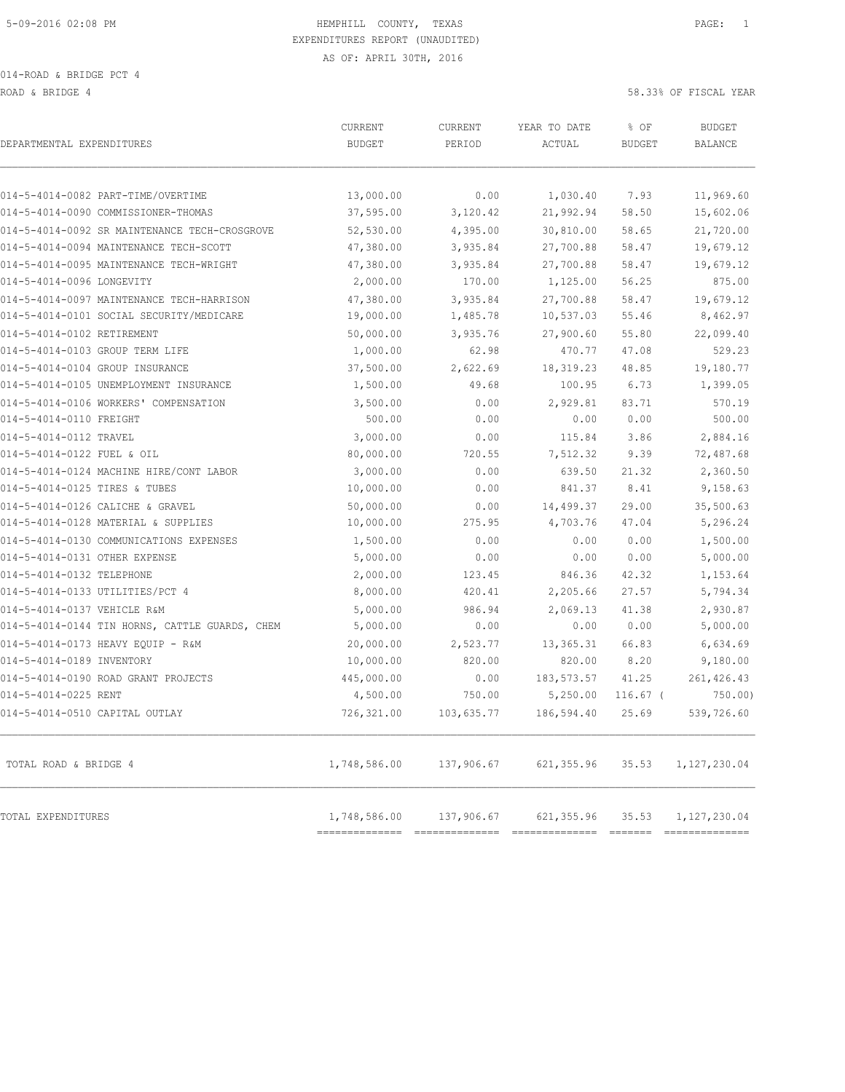ROAD & BRIDGE 4 58.33% OF FISCAL YEAR (1999) AND HOT SERVICE A SERVICE A SERVICE A SERVICE A SERVICE A SERVICE A

| DEPARTMENTAL EXPENDITURES                      | CURRENT<br><b>BUDGET</b>        | CURRENT<br>PERIOD | YEAR TO DATE<br>ACTUAL | % OF<br><b>BUDGET</b> | <b>BUDGET</b><br><b>BALANCE</b> |
|------------------------------------------------|---------------------------------|-------------------|------------------------|-----------------------|---------------------------------|
| 014-5-4014-0082 PART-TIME/OVERTIME             | 13,000.00                       | 0.00              | 1,030.40               | 7.93                  | 11,969.60                       |
| 014-5-4014-0090 COMMISSIONER-THOMAS            | 37,595.00                       | 3,120.42          | 21,992.94              | 58.50                 | 15,602.06                       |
| 014-5-4014-0092 SR MAINTENANCE TECH-CROSGROVE  | 52,530.00                       | 4,395.00          | 30,810.00              | 58.65                 | 21,720.00                       |
| 014-5-4014-0094 MAINTENANCE TECH-SCOTT         | 47,380.00                       | 3,935.84          | 27,700.88              | 58.47                 | 19,679.12                       |
| 014-5-4014-0095 MAINTENANCE TECH-WRIGHT        | 47,380.00                       | 3,935.84          | 27,700.88              | 58.47                 | 19,679.12                       |
| 014-5-4014-0096 LONGEVITY                      | 2,000.00                        | 170.00            | 1,125.00               | 56.25                 | 875.00                          |
| 014-5-4014-0097 MAINTENANCE TECH-HARRISON      | 47,380.00                       | 3,935.84          | 27,700.88              | 58.47                 | 19,679.12                       |
| 014-5-4014-0101 SOCIAL SECURITY/MEDICARE       | 19,000.00                       | 1,485.78          | 10,537.03              | 55.46                 | 8,462.97                        |
| 014-5-4014-0102 RETIREMENT                     | 50,000.00                       | 3,935.76          | 27,900.60              | 55.80                 | 22,099.40                       |
| 014-5-4014-0103 GROUP TERM LIFE                | 1,000.00                        | 62.98             | 470.77                 | 47.08                 | 529.23                          |
| 014-5-4014-0104 GROUP INSURANCE                | 37,500.00                       | 2,622.69          | 18, 319.23             | 48.85                 | 19,180.77                       |
| 014-5-4014-0105 UNEMPLOYMENT INSURANCE         | 1,500.00                        | 49.68             | 100.95                 | 6.73                  | 1,399.05                        |
| 014-5-4014-0106 WORKERS' COMPENSATION          | 3,500.00                        | 0.00              | 2,929.81               | 83.71                 | 570.19                          |
| 014-5-4014-0110 FREIGHT                        | 500.00                          | 0.00              | 0.00                   | 0.00                  | 500.00                          |
| 014-5-4014-0112 TRAVEL                         | 3,000.00                        | 0.00              | 115.84                 | 3.86                  | 2,884.16                        |
| 014-5-4014-0122 FUEL & OIL                     | 80,000.00                       | 720.55            | 7,512.32               | 9.39                  | 72,487.68                       |
| 014-5-4014-0124 MACHINE HIRE/CONT LABOR        | 3,000.00                        | 0.00              | 639.50                 | 21.32                 | 2,360.50                        |
| 014-5-4014-0125 TIRES & TUBES                  | 10,000.00                       | 0.00              | 841.37                 | 8.41                  | 9,158.63                        |
| 014-5-4014-0126 CALICHE & GRAVEL               | 50,000.00                       | 0.00              | 14,499.37              | 29.00                 | 35,500.63                       |
| 014-5-4014-0128 MATERIAL & SUPPLIES            | 10,000.00                       | 275.95            | 4,703.76               | 47.04                 | 5,296.24                        |
| 014-5-4014-0130 COMMUNICATIONS EXPENSES        | 1,500.00                        | 0.00              | 0.00                   | 0.00                  | 1,500.00                        |
| 014-5-4014-0131 OTHER EXPENSE                  | 5,000.00                        | 0.00              | 0.00                   | 0.00                  | 5,000.00                        |
| 014-5-4014-0132 TELEPHONE                      | 2,000.00                        | 123.45            | 846.36                 | 42.32                 | 1,153.64                        |
| 014-5-4014-0133 UTILITIES/PCT 4                | 8,000.00                        | 420.41            | 2,205.66               | 27.57                 | 5,794.34                        |
| 014-5-4014-0137 VEHICLE R&M                    | 5,000.00                        | 986.94            | 2,069.13               | 41.38                 | 2,930.87                        |
| 014-5-4014-0144 TIN HORNS, CATTLE GUARDS, CHEM | 5,000.00                        | 0.00              | 0.00                   | 0.00                  | 5,000.00                        |
| 014-5-4014-0173 HEAVY EQUIP - R&M              | 20,000.00                       | 2,523.77          | 13,365.31              | 66.83                 | 6,634.69                        |
| 014-5-4014-0189 INVENTORY                      | 10,000.00                       | 820.00            | 820.00                 | 8.20                  | 9,180.00                        |
| 014-5-4014-0190 ROAD GRANT PROJECTS            | 445,000.00                      | 0.00              | 183, 573. 57           | 41.25                 | 261, 426.43                     |
| 014-5-4014-0225 RENT                           | 4,500.00                        | 750.00            | 5,250.00               | $116.67$ (            | 750.00)                         |
| 014-5-4014-0510 CAPITAL OUTLAY                 | 726,321.00                      | 103,635.77        | 186,594.40             | 25.69                 | 539,726.60                      |
| TOTAL ROAD & BRIDGE 4                          | 1,748,586.00                    | 137,906.67        | 621, 355.96            | 35.53                 | 1,127,230.04                    |
| TOTAL EXPENDITURES                             | 1,748,586.00<br>--------------- | 137,906.67        | 621, 355.96            | 35.53                 | 1,127,230.04<br>--------------- |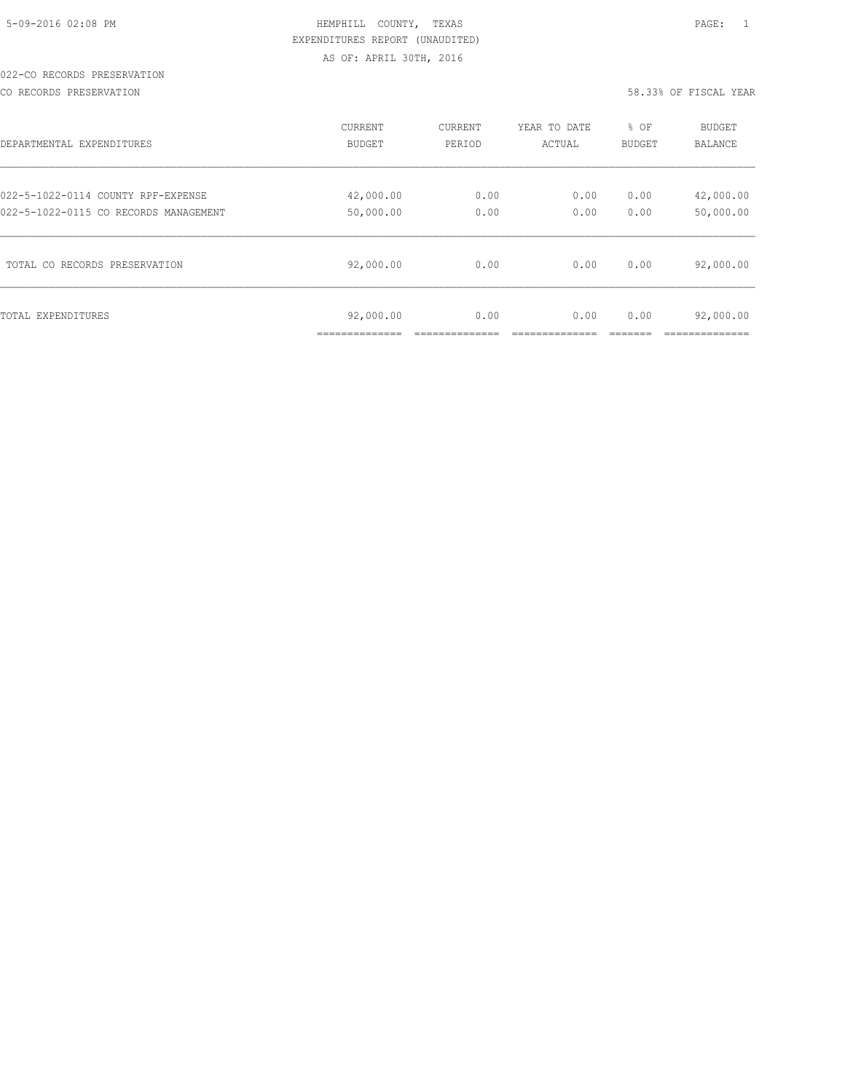# 022-CO RECORDS PRESERVATION

CO RECORDS PRESERVATION 58.33% OF FISCAL YEAR

| DEPARTMENTAL EXPENDITURES             | <b>CURRENT</b>              | CURRENT | YEAR TO DATE | % OF          | <b>BUDGET</b>               |
|---------------------------------------|-----------------------------|---------|--------------|---------------|-----------------------------|
|                                       | <b>BUDGET</b>               | PERIOD  | ACTUAL       | <b>BUDGET</b> | <b>BALANCE</b>              |
| 022-5-1022-0114 COUNTY RPF-EXPENSE    | 42,000.00                   | 0.00    | 0.00         | 0.00          | 42,000.00                   |
| 022-5-1022-0115 CO RECORDS MANAGEMENT | 50,000.00                   | 0.00    | 0.00         | 0.00          | 50,000.00                   |
| TOTAL CO RECORDS PRESERVATION         | 92,000.00                   | 0.00    | 0.00         | 0.00          | 92,000.00                   |
| TOTAL EXPENDITURES                    | 92,000.00<br>______________ | 0.00    | 0.00         | 0.00          | 92,000.00<br>-------------- |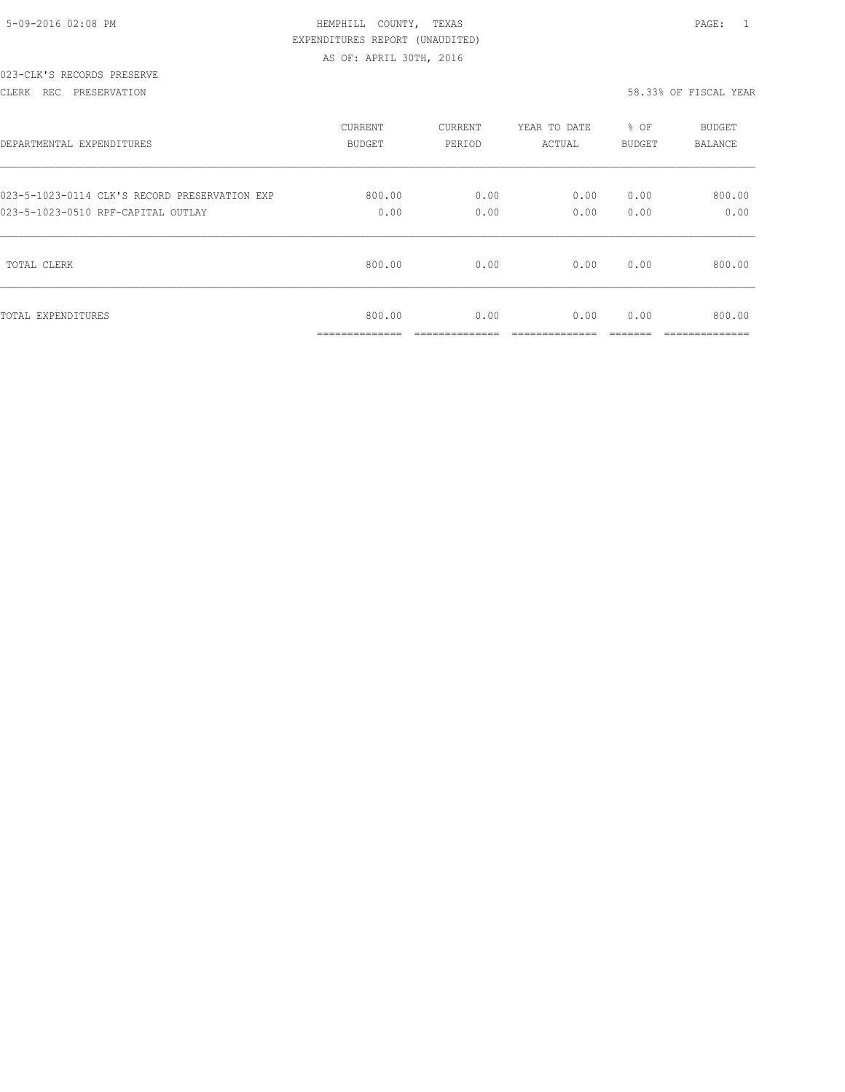|  | 5-09-2016 02:08 PM |  |
|--|--------------------|--|

# HEMPHILL COUNTY, TEXAS **Example 20:09 PAGE:** 1 EXPENDITURES REPORT (UNAUDITED) AS OF: APRIL 30TH, 2016

# 023-CLK'S RECORDS PRESERVE

CLERK REC PRESERVATION 58.33% OF FISCAL YEAR

| DEPARTMENTAL EXPENDITURES                     | <b>CURRENT</b>                        | CURRENT                | YEAR TO DATE           | % OF          | <b>BUDGET</b>            |
|-----------------------------------------------|---------------------------------------|------------------------|------------------------|---------------|--------------------------|
|                                               | BUDGET                                | PERIOD                 | ACTUAL                 | BUDGET        | <b>BALANCE</b>           |
| 023-5-1023-0114 CLK'S RECORD PRESERVATION EXP | 800.00                                | 0.00                   | 0.00                   | 0.00          | 800.00                   |
| 023-5-1023-0510 RPF-CAPITAL OUTLAY            | 0.00                                  | 0.00                   | 0.00                   | 0.00          | 0.00                     |
| TOTAL CLERK                                   | 800.00                                | 0.00                   | 0.00                   | 0.00          | 800.00                   |
| TOTAL EXPENDITURES                            | 800.00<br>______________<br>--------- | 0.00<br>______________ | 0.00<br>______________ | 0.00<br>_____ | 800.00<br>______________ |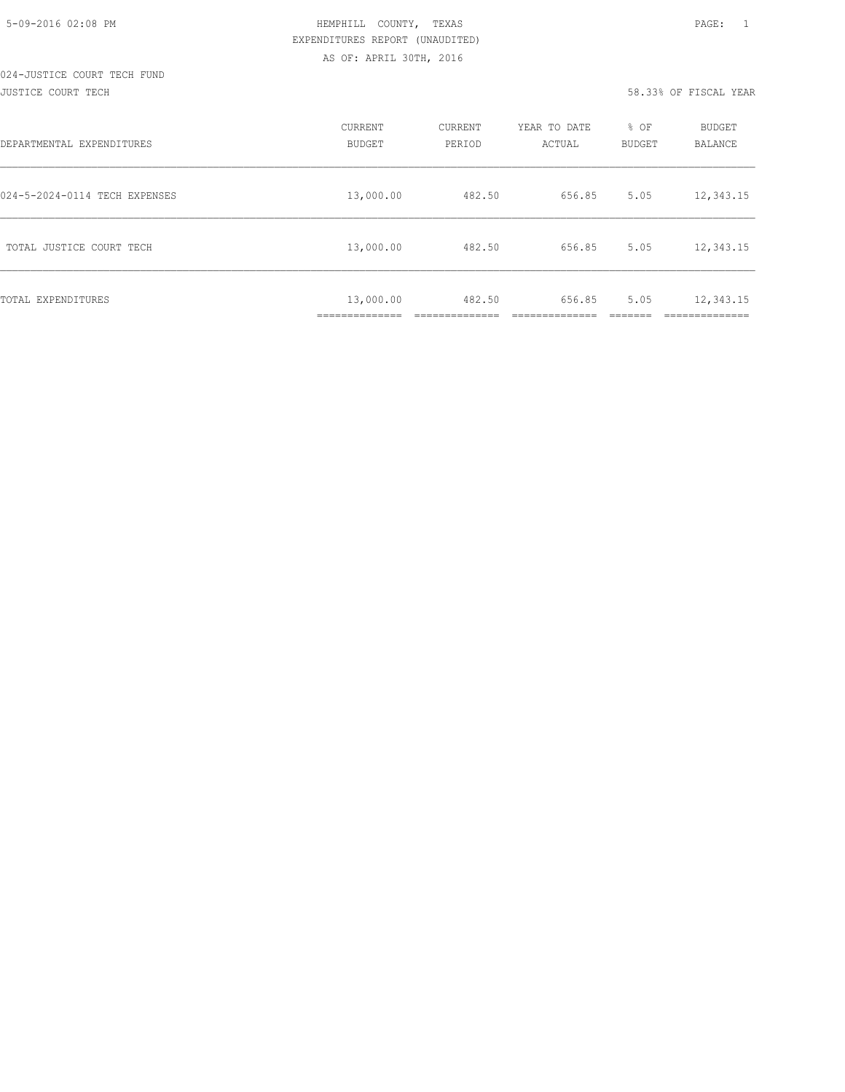#### 024-JUSTICE COURT TECH FUND JUSTICE COURT TECH 58.33% OF FISCAL YEAR

| DEPARTMENTAL EXPENDITURES     | <b>CURRENT</b><br><b>BUDGET</b> | CURRENT<br>PERIOD | YEAR TO DATE<br>ACTUAL | % OF<br><b>BUDGET</b> | <b>BUDGET</b><br>BALANCE |
|-------------------------------|---------------------------------|-------------------|------------------------|-----------------------|--------------------------|
| 024-5-2024-0114 TECH EXPENSES | 13,000.00                       | 482.50            | 656.85                 | 5.05                  | 12,343.15                |
| TOTAL JUSTICE COURT TECH      | 13,000.00                       | 482.50            | 656.85                 | 5.05                  | 12,343.15                |
| TOTAL EXPENDITURES            | 13,000.00<br>-----------<br>.   | 482.50            | 656.85                 | 5.05                  | 12,343.15<br>__________  |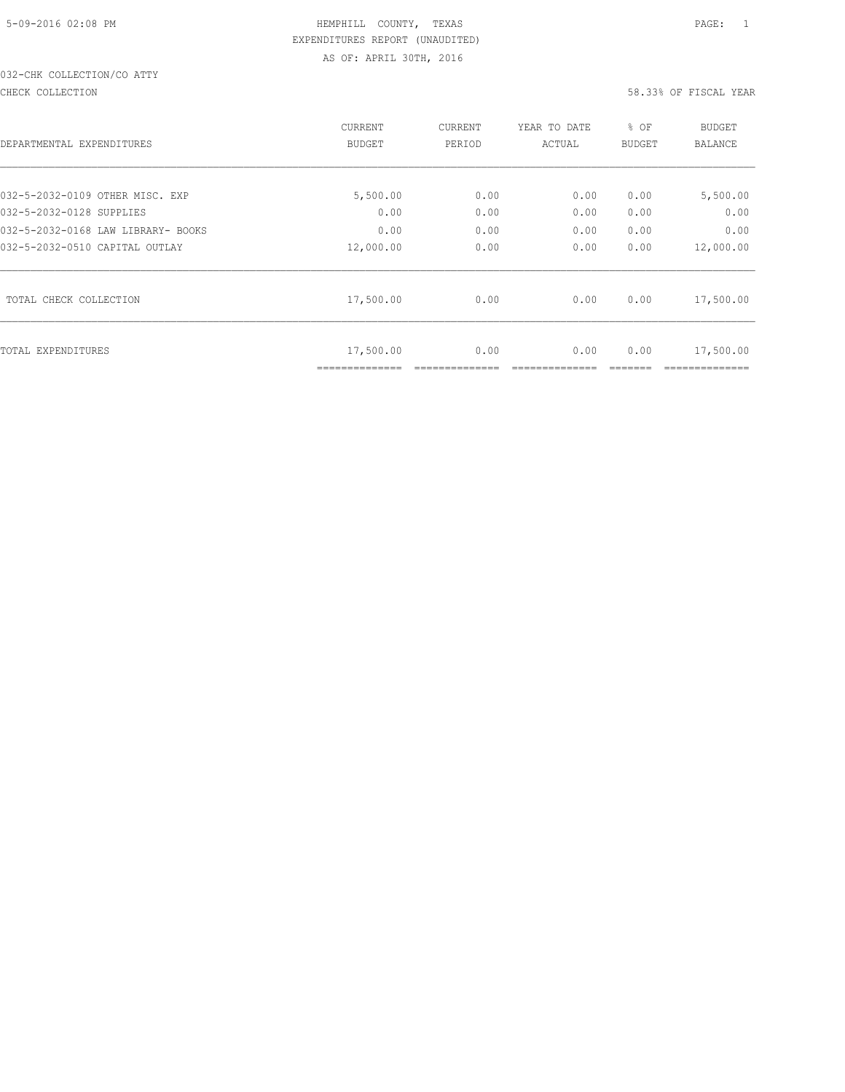# 032-CHK COLLECTION/CO ATTY

#### CHECK COLLECTION 58.33% OF FISCAL YEAR

|                                    | <b>CURRENT</b>              | <b>CURRENT</b> | YEAR TO DATE | % OF          | <b>BUDGET</b> |
|------------------------------------|-----------------------------|----------------|--------------|---------------|---------------|
| DEPARTMENTAL EXPENDITURES          | <b>BUDGET</b>               | PERIOD         | ACTUAL       | <b>BUDGET</b> | BALANCE       |
|                                    |                             |                |              |               |               |
| 032-5-2032-0109 OTHER MISC. EXP    | 5,500.00                    | 0.00           | 0.00         | 0.00          | 5,500.00      |
| 032-5-2032-0128 SUPPLIES           | 0.00                        | 0.00           | 0.00         | 0.00          | 0.00          |
| 032-5-2032-0168 LAW LIBRARY- BOOKS | 0.00                        | 0.00           | 0.00         | 0.00          | 0.00          |
| 032-5-2032-0510 CAPITAL OUTLAY     | 12,000.00                   | 0.00           | 0.00         | 0.00          | 12,000.00     |
| TOTAL CHECK COLLECTION             | 17,500.00                   | 0.00           | 0.00         | 0.00          | 17,500.00     |
| TOTAL EXPENDITURES                 | 17,500.00<br>============== | 0.00           | 0.00         | 0.00          | 17,500.00     |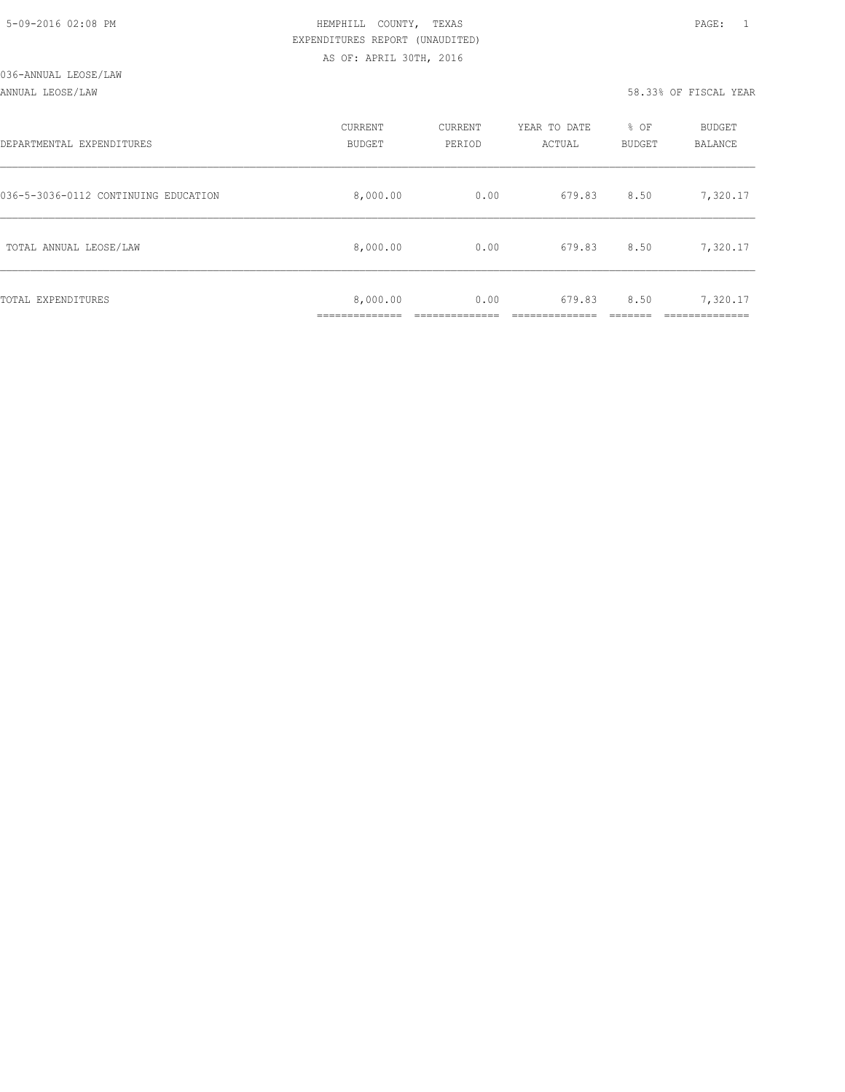#### ANNUAL LEOSE/LAW 58.33% OF FISCAL YEAR

| DEPARTMENTAL EXPENDITURES            | CURRENT<br><b>BUDGET</b> | CURRENT<br>PERIOD | YEAR TO DATE<br>ACTUAL | % OF<br>BUDGET | BUDGET<br><b>BALANCE</b> |
|--------------------------------------|--------------------------|-------------------|------------------------|----------------|--------------------------|
| 036-5-3036-0112 CONTINUING EDUCATION | 8,000.00                 | 0.00              | 679.83                 | 8.50           | 7,320.17                 |
| TOTAL ANNUAL LEOSE/LAW               | 8,000.00                 | 0.00              | 679.83                 | 8.50           | 7,320.17                 |
| TOTAL EXPENDITURES                   | 8,000.00                 | 0.00              | 679.83                 | 8.50           | 7,320.17                 |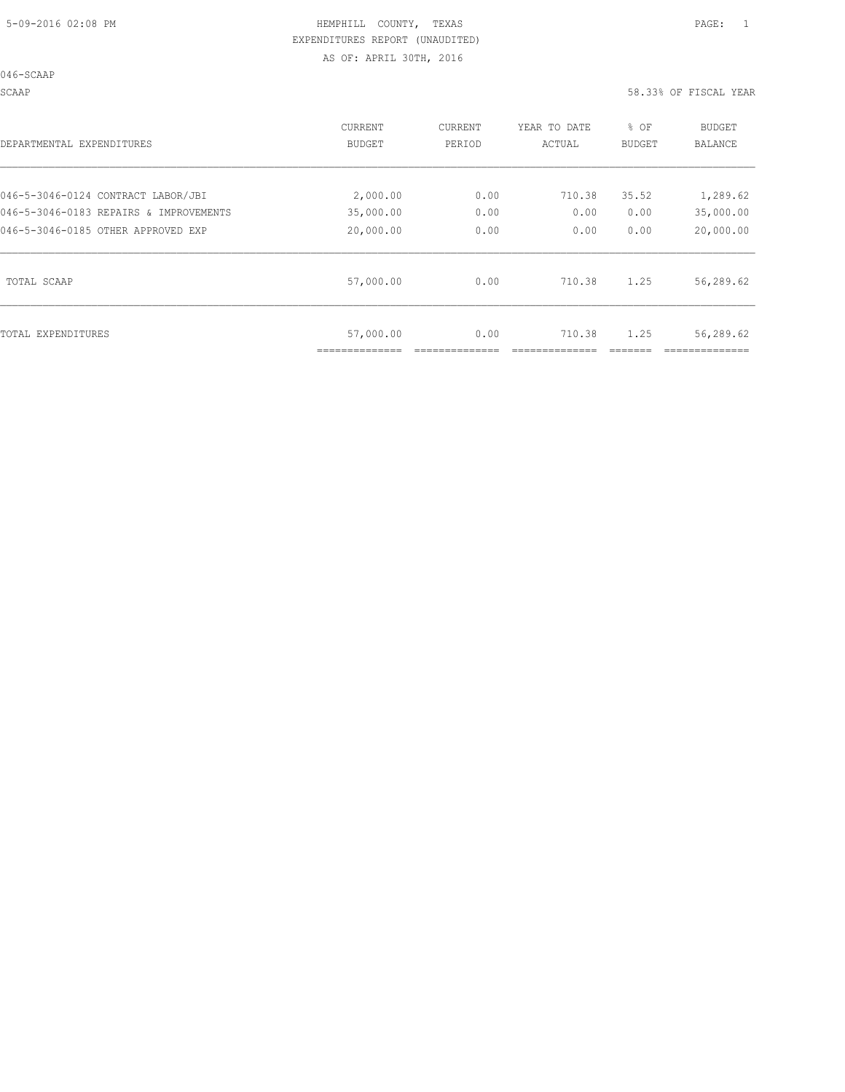046-SCAAP

SCAAP 58.33% OF FISCAL YEAR

| DEPARTMENTAL EXPENDITURES              | CURRENT       | CURRENT | YEAR TO DATE | % OF   | BUDGET    |
|----------------------------------------|---------------|---------|--------------|--------|-----------|
|                                        | <b>BUDGET</b> | PERIOD  | ACTUAL       | BUDGET | BALANCE   |
| 046-5-3046-0124 CONTRACT LABOR/JBI     | 2,000.00      | 0.00    | 710.38       | 35.52  | 1,289.62  |
| 046-5-3046-0183 REPAIRS & IMPROVEMENTS | 35,000.00     | 0.00    | 0.00         | 0.00   | 35,000.00 |
| 046-5-3046-0185 OTHER APPROVED EXP     | 20,000.00     | 0.00    | 0.00         | 0.00   | 20,000.00 |
| TOTAL SCAAP                            | 57,000.00     | 0.00    | 710.38       | 1.25   | 56,289.62 |
| TOTAL EXPENDITURES                     | 57,000.00     | 0.00    | 710.38       | 1.25   | 56,289.62 |